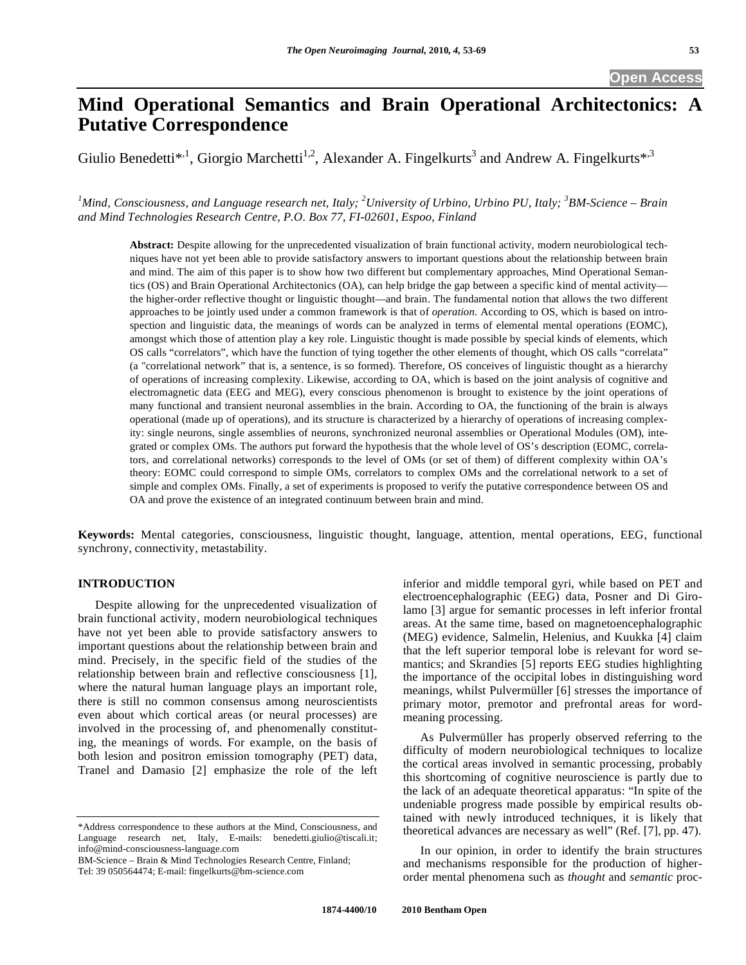# **Mind Operational Semantics and Brain Operational Architectonics: A Putative Correspondence**

Giulio Benedetti<sup>\*,1</sup>, Giorgio Marchetti<sup>1,2</sup>, Alexander A. Fingelkurts<sup>3</sup> and Andrew A. Fingelkurts<sup>\*,3</sup>

*1 Mind, Consciousness, and Language research net, Italy; <sup>2</sup> University of Urbino, Urbino PU, Italy; <sup>3</sup> BM-Science – Brain and Mind Technologies Research Centre, P.O. Box 77, FI-02601, Espoo, Finland* 

**Abstract:** Despite allowing for the unprecedented visualization of brain functional activity, modern neurobiological techniques have not yet been able to provide satisfactory answers to important questions about the relationship between brain and mind. The aim of this paper is to show how two different but complementary approaches, Mind Operational Semantics (OS) and Brain Operational Architectonics (OA), can help bridge the gap between a specific kind of mental activity the higher-order reflective thought or linguistic thought—and brain. The fundamental notion that allows the two different approaches to be jointly used under a common framework is that of *operation*. According to OS, which is based on introspection and linguistic data, the meanings of words can be analyzed in terms of elemental mental operations (EOMC), amongst which those of attention play a key role. Linguistic thought is made possible by special kinds of elements, which OS calls "correlators", which have the function of tying together the other elements of thought, which OS calls "correlata" (a "correlational network" that is, a sentence, is so formed). Therefore, OS conceives of linguistic thought as a hierarchy of operations of increasing complexity. Likewise, according to OA, which is based on the joint analysis of cognitive and electromagnetic data (EEG and MEG), every conscious phenomenon is brought to existence by the joint operations of many functional and transient neuronal assemblies in the brain. According to OA, the functioning of the brain is always operational (made up of operations), and its structure is characterized by a hierarchy of operations of increasing complexity: single neurons, single assemblies of neurons, synchronized neuronal assemblies or Operational Modules (OM), integrated or complex OMs. The authors put forward the hypothesis that the whole level of OS's description (EOMC, correlators, and correlational networks) corresponds to the level of OMs (or set of them) of different complexity within OA's theory: EOMC could correspond to simple OMs, correlators to complex OMs and the correlational network to a set of simple and complex OMs. Finally, a set of experiments is proposed to verify the putative correspondence between OS and OA and prove the existence of an integrated continuum between brain and mind.

**Keywords:** Mental categories, consciousness, linguistic thought, language, attention, mental operations, EEG, functional synchrony, connectivity, metastability.

# **INTRODUCTION**

 Despite allowing for the unprecedented visualization of brain functional activity, modern neurobiological techniques have not yet been able to provide satisfactory answers to important questions about the relationship between brain and mind. Precisely, in the specific field of the studies of the relationship between brain and reflective consciousness [1], where the natural human language plays an important role, there is still no common consensus among neuroscientists even about which cortical areas (or neural processes) are involved in the processing of, and phenomenally constituting, the meanings of words. For example, on the basis of both lesion and positron emission tomography (PET) data, Tranel and Damasio [2] emphasize the role of the left inferior and middle temporal gyri, while based on PET and electroencephalographic (EEG) data, Posner and Di Girolamo [3] argue for semantic processes in left inferior frontal areas. At the same time, based on magnetoencephalographic (MEG) evidence, Salmelin, Helenius, and Kuukka [4] claim that the left superior temporal lobe is relevant for word semantics; and Skrandies [5] reports EEG studies highlighting the importance of the occipital lobes in distinguishing word meanings, whilst Pulvermüller [6] stresses the importance of primary motor, premotor and prefrontal areas for wordmeaning processing.

 As Pulvermüller has properly observed referring to the difficulty of modern neurobiological techniques to localize the cortical areas involved in semantic processing, probably this shortcoming of cognitive neuroscience is partly due to the lack of an adequate theoretical apparatus: "In spite of the undeniable progress made possible by empirical results obtained with newly introduced techniques, it is likely that theoretical advances are necessary as well" (Ref. [7], pp. 47).

 In our opinion, in order to identify the brain structures and mechanisms responsible for the production of higherorder mental phenomena such as *thought* and *semantic* proc-

<sup>\*</sup>Address correspondence to these authors at the Mind, Consciousness, and Language research net, Italy, E-mails: benedetti.giulio@tiscali.it; info@mind-consciousness-language.com

BM-Science – Brain & Mind Technologies Research Centre, Finland; Tel: 39 050564474; E-mail: fingelkurts@bm-science.com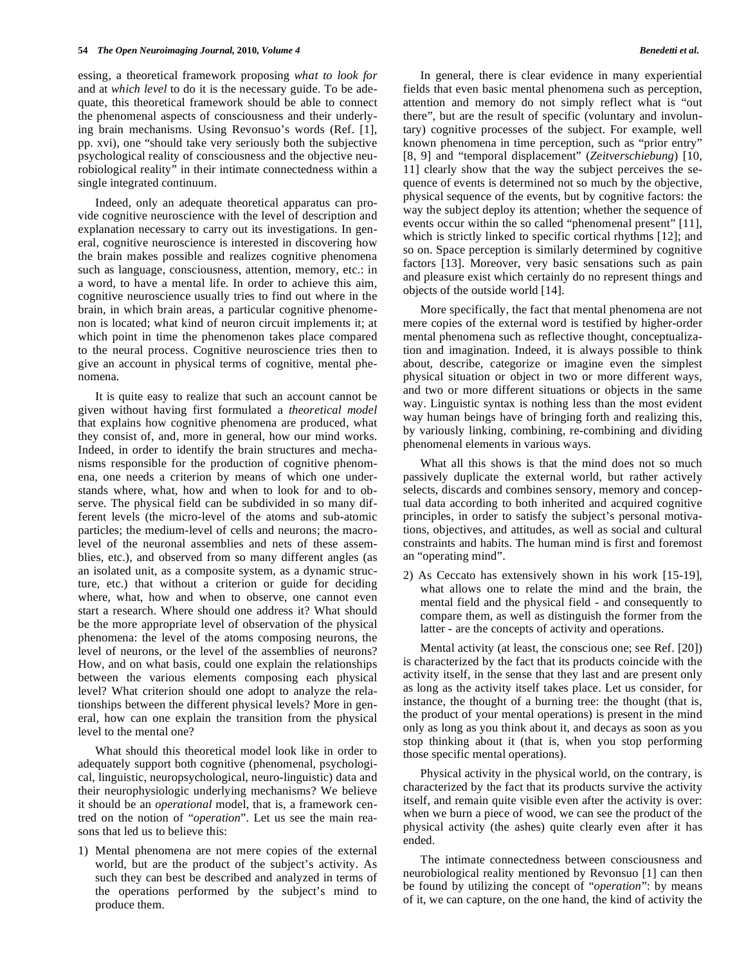essing, a theoretical framework proposing *what to look for* and at *which level* to do it is the necessary guide. To be adequate, this theoretical framework should be able to connect the phenomenal aspects of consciousness and their underlying brain mechanisms. Using Revonsuo's words (Ref. [1], pp. xvi), one "should take very seriously both the subjective psychological reality of consciousness and the objective neurobiological reality" in their intimate connectedness within a single integrated continuum.

 Indeed, only an adequate theoretical apparatus can provide cognitive neuroscience with the level of description and explanation necessary to carry out its investigations. In general, cognitive neuroscience is interested in discovering how the brain makes possible and realizes cognitive phenomena such as language, consciousness, attention, memory, etc.: in a word, to have a mental life. In order to achieve this aim, cognitive neuroscience usually tries to find out where in the brain, in which brain areas, a particular cognitive phenomenon is located; what kind of neuron circuit implements it; at which point in time the phenomenon takes place compared to the neural process. Cognitive neuroscience tries then to give an account in physical terms of cognitive, mental phenomena.

 It is quite easy to realize that such an account cannot be given without having first formulated a *theoretical model* that explains how cognitive phenomena are produced, what they consist of, and, more in general, how our mind works. Indeed, in order to identify the brain structures and mechanisms responsible for the production of cognitive phenomena, one needs a criterion by means of which one understands where, what, how and when to look for and to observe. The physical field can be subdivided in so many different levels (the micro-level of the atoms and sub-atomic particles; the medium-level of cells and neurons; the macrolevel of the neuronal assemblies and nets of these assemblies, etc.), and observed from so many different angles (as an isolated unit, as a composite system, as a dynamic structure, etc.) that without a criterion or guide for deciding where, what, how and when to observe, one cannot even start a research. Where should one address it? What should be the more appropriate level of observation of the physical phenomena: the level of the atoms composing neurons, the level of neurons, or the level of the assemblies of neurons? How, and on what basis, could one explain the relationships between the various elements composing each physical level? What criterion should one adopt to analyze the relationships between the different physical levels? More in general, how can one explain the transition from the physical level to the mental one?

 What should this theoretical model look like in order to adequately support both cognitive (phenomenal, psychological, linguistic, neuropsychological, neuro-linguistic) data and their neurophysiologic underlying mechanisms? We believe it should be an *operational* model, that is, a framework centred on the notion of "*operation*". Let us see the main reasons that led us to believe this:

1) Mental phenomena are not mere copies of the external world, but are the product of the subject's activity. As such they can best be described and analyzed in terms of the operations performed by the subject's mind to produce them.

 In general, there is clear evidence in many experiential fields that even basic mental phenomena such as perception, attention and memory do not simply reflect what is "out there", but are the result of specific (voluntary and involuntary) cognitive processes of the subject. For example, well known phenomena in time perception, such as "prior entry" [8, 9] and "temporal displacement" (*Zeitverschiebung*) [10, 11] clearly show that the way the subject perceives the sequence of events is determined not so much by the objective, physical sequence of the events, but by cognitive factors: the way the subject deploy its attention; whether the sequence of events occur within the so called "phenomenal present" [11], which is strictly linked to specific cortical rhythms [12]; and so on. Space perception is similarly determined by cognitive factors [13]. Moreover, very basic sensations such as pain and pleasure exist which certainly do no represent things and objects of the outside world [14].

 More specifically, the fact that mental phenomena are not mere copies of the external word is testified by higher-order mental phenomena such as reflective thought, conceptualization and imagination. Indeed, it is always possible to think about, describe, categorize or imagine even the simplest physical situation or object in two or more different ways, and two or more different situations or objects in the same way. Linguistic syntax is nothing less than the most evident way human beings have of bringing forth and realizing this, by variously linking, combining, re-combining and dividing phenomenal elements in various ways.

 What all this shows is that the mind does not so much passively duplicate the external world, but rather actively selects, discards and combines sensory, memory and conceptual data according to both inherited and acquired cognitive principles, in order to satisfy the subject's personal motivations, objectives, and attitudes, as well as social and cultural constraints and habits. The human mind is first and foremost an "operating mind".

2) As Ceccato has extensively shown in his work [15-19], what allows one to relate the mind and the brain, the mental field and the physical field - and consequently to compare them, as well as distinguish the former from the latter - are the concepts of activity and operations.

 Mental activity (at least, the conscious one; see Ref. [20]) is characterized by the fact that its products coincide with the activity itself, in the sense that they last and are present only as long as the activity itself takes place. Let us consider, for instance, the thought of a burning tree: the thought (that is, the product of your mental operations) is present in the mind only as long as you think about it, and decays as soon as you stop thinking about it (that is, when you stop performing those specific mental operations).

 Physical activity in the physical world, on the contrary, is characterized by the fact that its products survive the activity itself, and remain quite visible even after the activity is over: when we burn a piece of wood, we can see the product of the physical activity (the ashes) quite clearly even after it has ended.

 The intimate connectedness between consciousness and neurobiological reality mentioned by Revonsuo [1] can then be found by utilizing the concept of "*operation*": by means of it, we can capture, on the one hand, the kind of activity the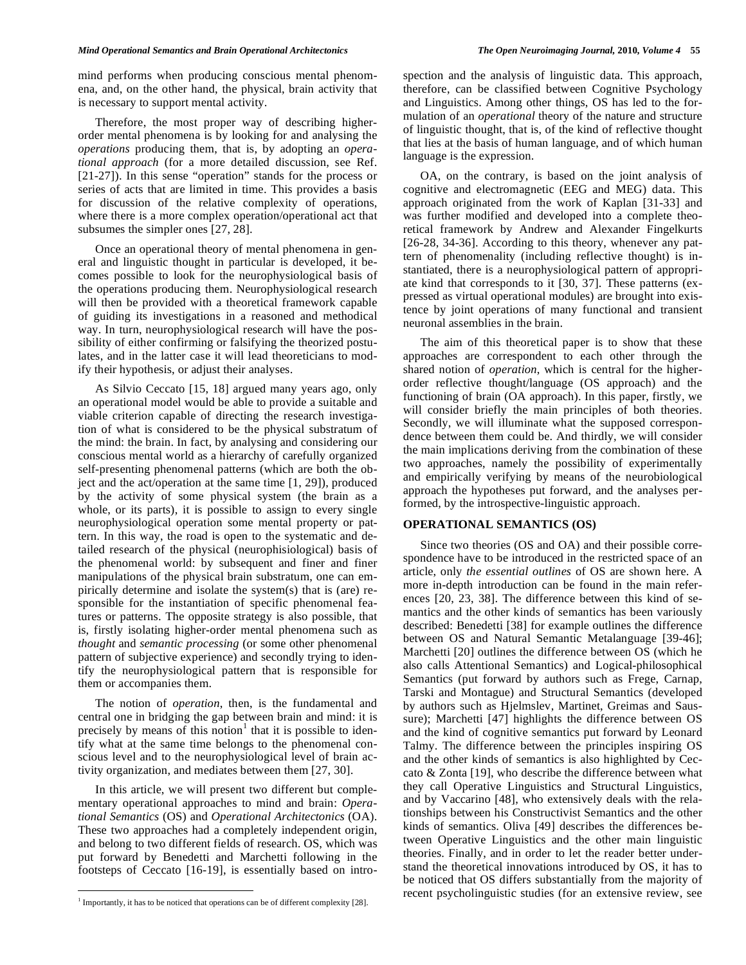mind performs when producing conscious mental phenomena, and, on the other hand, the physical, brain activity that is necessary to support mental activity.

 Therefore, the most proper way of describing higherorder mental phenomena is by looking for and analysing the *operations* producing them, that is, by adopting an *operational approach* (for a more detailed discussion, see Ref. [21-27]). In this sense "operation" stands for the process or series of acts that are limited in time. This provides a basis for discussion of the relative complexity of operations, where there is a more complex operation/operational act that subsumes the simpler ones [27, 28].

 Once an operational theory of mental phenomena in general and linguistic thought in particular is developed, it becomes possible to look for the neurophysiological basis of the operations producing them. Neurophysiological research will then be provided with a theoretical framework capable of guiding its investigations in a reasoned and methodical way. In turn, neurophysiological research will have the possibility of either confirming or falsifying the theorized postulates, and in the latter case it will lead theoreticians to modify their hypothesis, or adjust their analyses.

 As Silvio Ceccato [15, 18] argued many years ago, only an operational model would be able to provide a suitable and viable criterion capable of directing the research investigation of what is considered to be the physical substratum of the mind: the brain. In fact, by analysing and considering our conscious mental world as a hierarchy of carefully organized self-presenting phenomenal patterns (which are both the object and the act/operation at the same time [1, 29]), produced by the activity of some physical system (the brain as a whole, or its parts), it is possible to assign to every single neurophysiological operation some mental property or pattern. In this way, the road is open to the systematic and detailed research of the physical (neurophisiological) basis of the phenomenal world: by subsequent and finer and finer manipulations of the physical brain substratum, one can empirically determine and isolate the system(s) that is (are) responsible for the instantiation of specific phenomenal features or patterns. The opposite strategy is also possible, that is, firstly isolating higher-order mental phenomena such as *thought* and *semantic processing* (or some other phenomenal pattern of subjective experience) and secondly trying to identify the neurophysiological pattern that is responsible for them or accompanies them.

 The notion of *operation*, then, is the fundamental and central one in bridging the gap between brain and mind: it is precisely by means of this notion<sup>1</sup> that it is possible to identify what at the same time belongs to the phenomenal conscious level and to the neurophysiological level of brain activity organization, and mediates between them [27, 30].

 In this article, we will present two different but complementary operational approaches to mind and brain: *Operational Semantics* (OS) and *Operational Architectonics* (OA). These two approaches had a completely independent origin, and belong to two different fields of research. OS, which was put forward by Benedetti and Marchetti following in the footsteps of Ceccato [16-19], is essentially based on intro-

<u>.</u>

spection and the analysis of linguistic data. This approach, therefore, can be classified between Cognitive Psychology and Linguistics. Among other things, OS has led to the formulation of an *operational* theory of the nature and structure of linguistic thought, that is, of the kind of reflective thought that lies at the basis of human language, and of which human language is the expression.

 OA, on the contrary, is based on the joint analysis of cognitive and electromagnetic (EEG and MEG) data. This approach originated from the work of Kaplan [31-33] and was further modified and developed into a complete theoretical framework by Andrew and Alexander Fingelkurts [26-28, 34-36]. According to this theory, whenever any pattern of phenomenality (including reflective thought) is instantiated, there is a neurophysiological pattern of appropriate kind that corresponds to it [30, 37]. These patterns (expressed as virtual operational modules) are brought into existence by joint operations of many functional and transient neuronal assemblies in the brain.

 The aim of this theoretical paper is to show that these approaches are correspondent to each other through the shared notion of *operation*, which is central for the higherorder reflective thought/language (OS approach) and the functioning of brain (OA approach). In this paper, firstly, we will consider briefly the main principles of both theories. Secondly, we will illuminate what the supposed correspondence between them could be. And thirdly, we will consider the main implications deriving from the combination of these two approaches, namely the possibility of experimentally and empirically verifying by means of the neurobiological approach the hypotheses put forward, and the analyses performed, by the introspective-linguistic approach.

# **OPERATIONAL SEMANTICS (OS)**

 Since two theories (OS and OA) and their possible correspondence have to be introduced in the restricted space of an article, only *the essential outlines* of OS are shown here. A more in-depth introduction can be found in the main references [20, 23, 38]. The difference between this kind of semantics and the other kinds of semantics has been variously described: Benedetti [38] for example outlines the difference between OS and Natural Semantic Metalanguage [39-46]; Marchetti [20] outlines the difference between OS (which he also calls Attentional Semantics) and Logical-philosophical Semantics (put forward by authors such as Frege, Carnap, Tarski and Montague) and Structural Semantics (developed by authors such as Hjelmslev, Martinet, Greimas and Saussure); Marchetti [47] highlights the difference between OS and the kind of cognitive semantics put forward by Leonard Talmy. The difference between the principles inspiring OS and the other kinds of semantics is also highlighted by Ceccato & Zonta [19], who describe the difference between what they call Operative Linguistics and Structural Linguistics, and by Vaccarino [48], who extensively deals with the relationships between his Constructivist Semantics and the other kinds of semantics. Oliva [49] describes the differences between Operative Linguistics and the other main linguistic theories. Finally, and in order to let the reader better understand the theoretical innovations introduced by OS, it has to be noticed that OS differs substantially from the majority of recent psycholinguistic studies (for an extensive review, see

<sup>&</sup>lt;sup>1</sup> Importantly, it has to be noticed that operations can be of different complexity  $[28]$ .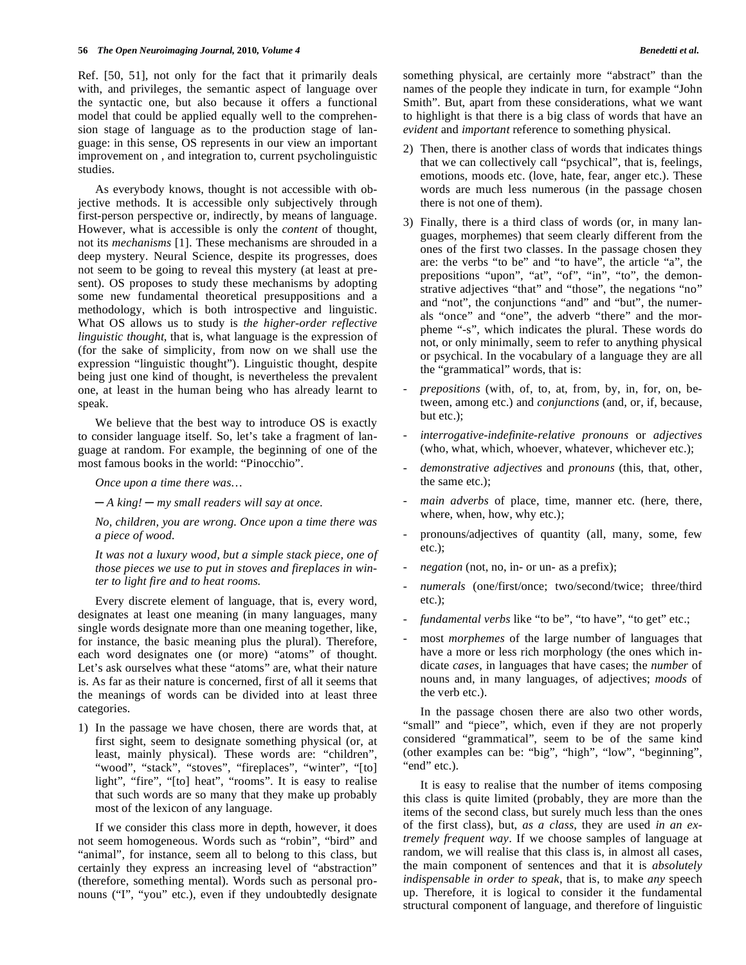Ref. [50, 51], not only for the fact that it primarily deals with, and privileges, the semantic aspect of language over the syntactic one, but also because it offers a functional model that could be applied equally well to the comprehension stage of language as to the production stage of language: in this sense, OS represents in our view an important improvement on , and integration to, current psycholinguistic studies.

 As everybody knows, thought is not accessible with objective methods. It is accessible only subjectively through first-person perspective or, indirectly, by means of language. However, what is accessible is only the *content* of thought, not its *mechanisms* [1]. These mechanisms are shrouded in a deep mystery. Neural Science, despite its progresses, does not seem to be going to reveal this mystery (at least at present). OS proposes to study these mechanisms by adopting some new fundamental theoretical presuppositions and a methodology, which is both introspective and linguistic. What OS allows us to study is *the higher-order reflective linguistic thought*, that is, what language is the expression of (for the sake of simplicity, from now on we shall use the expression "linguistic thought"). Linguistic thought, despite being just one kind of thought, is nevertheless the prevalent one, at least in the human being who has already learnt to speak.

 We believe that the best way to introduce OS is exactly to consider language itself. So, let's take a fragment of language at random. For example, the beginning of one of the most famous books in the world: "Pinocchio".

 *Once upon a time there was…* 

 *A king! my small readers will say at once.* 

 *No, children, you are wrong. Once upon a time there was a piece of wood.* 

 *It was not a luxury wood, but a simple stack piece, one of those pieces we use to put in stoves and fireplaces in winter to light fire and to heat rooms.* 

 Every discrete element of language, that is, every word, designates at least one meaning (in many languages, many single words designate more than one meaning together, like, for instance, the basic meaning plus the plural). Therefore, each word designates one (or more) "atoms" of thought. Let's ask ourselves what these "atoms" are, what their nature is. As far as their nature is concerned, first of all it seems that the meanings of words can be divided into at least three categories.

1) In the passage we have chosen, there are words that, at first sight, seem to designate something physical (or, at least, mainly physical). These words are: "children", "wood", "stack", "stoves", "fireplaces", "winter", "[to] light", "fire", "[to] heat", "rooms". It is easy to realise that such words are so many that they make up probably most of the lexicon of any language.

 If we consider this class more in depth, however, it does not seem homogeneous. Words such as "robin", "bird" and "animal", for instance, seem all to belong to this class, but certainly they express an increasing level of "abstraction" (therefore, something mental). Words such as personal pronouns ("I", "you" etc.), even if they undoubtedly designate

something physical, are certainly more "abstract" than the names of the people they indicate in turn, for example "John Smith". But, apart from these considerations, what we want to highlight is that there is a big class of words that have an *evident* and *important* reference to something physical.

- 2) Then, there is another class of words that indicates things that we can collectively call "psychical", that is, feelings, emotions, moods etc. (love, hate, fear, anger etc.). These words are much less numerous (in the passage chosen there is not one of them).
- 3) Finally, there is a third class of words (or, in many languages, morphemes) that seem clearly different from the ones of the first two classes. In the passage chosen they are: the verbs "to be" and "to have", the article "a", the prepositions "upon", "at", "of", "in", "to", the demonstrative adjectives "that" and "those", the negations "no" and "not", the conjunctions "and" and "but", the numerals "once" and "one", the adverb "there" and the morpheme "-s", which indicates the plural. These words do not, or only minimally, seem to refer to anything physical or psychical. In the vocabulary of a language they are all the "grammatical" words, that is:
- *prepositions* (with, of, to, at, from, by, in, for, on, between, among etc.) and *conjunctions* (and, or, if, because, but etc.);
- *interrogative-indefinite*-*relative pronouns* or *adjectives* (who, what, which, whoever, whatever, whichever etc.);
- *demonstrative adjectives* and *pronouns* (this, that, other, the same etc.);
- main adverbs of place, time, manner etc. (here, there, where, when, how, why etc.);
- pronouns/adjectives of quantity (all, many, some, few etc.);
- *negation* (not, no, in- or un- as a prefix);
- numerals (one/first/once; two/second/twice; three/third etc.);
- fundamental verbs like "to be", "to have", "to get" etc.;
- most *morphemes* of the large number of languages that have a more or less rich morphology (the ones which indicate *cases*, in languages that have cases; the *number* of nouns and, in many languages, of adjectives; *moods* of the verb etc.).

 In the passage chosen there are also two other words, "small" and "piece", which, even if they are not properly considered "grammatical", seem to be of the same kind (other examples can be: "big", "high", "low", "beginning", "end" etc.).

 It is easy to realise that the number of items composing this class is quite limited (probably, they are more than the items of the second class, but surely much less than the ones of the first class), but, *as a class*, they are used *in an extremely frequent way*. If we choose samples of language at random, we will realise that this class is, in almost all cases, the main component of sentences and that it is *absolutely indispensable in order to speak*, that is, to make *any* speech up. Therefore, it is logical to consider it the fundamental structural component of language, and therefore of linguistic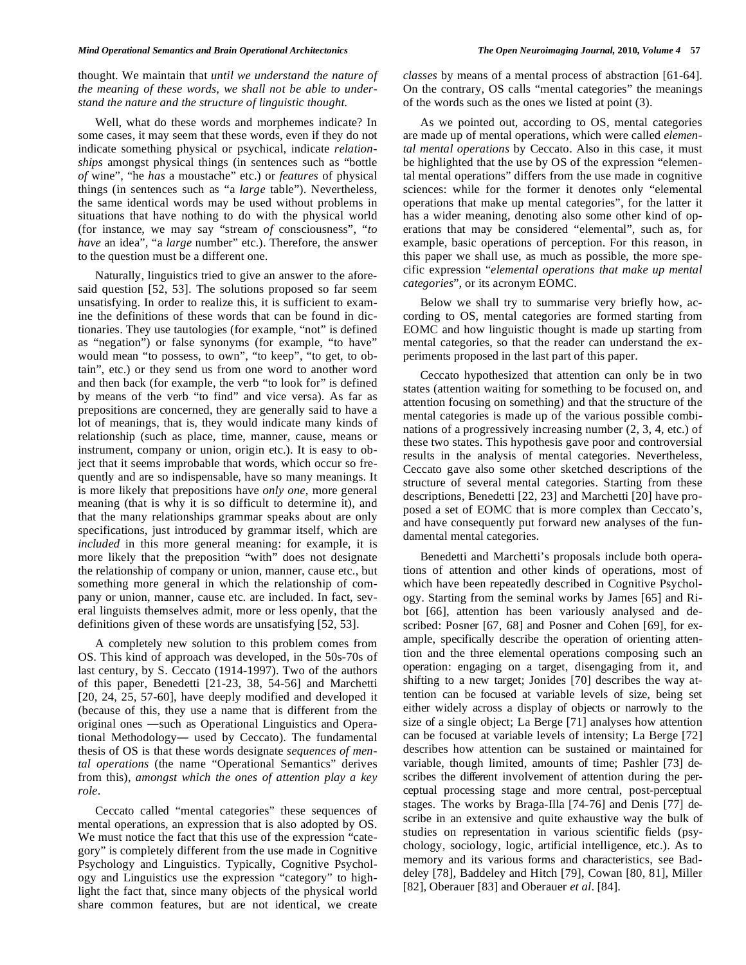thought. We maintain that *until we understand the nature of the meaning of these words, we shall not be able to understand the nature and the structure of linguistic thought*.

 Well, what do these words and morphemes indicate? In some cases, it may seem that these words, even if they do not indicate something physical or psychical, indicate *relationships* amongst physical things (in sentences such as "bottle *of* wine", "he *has* a moustache" etc.) or *features* of physical things (in sentences such as "a *large* table"). Nevertheless, the same identical words may be used without problems in situations that have nothing to do with the physical world (for instance, we may say "stream *of* consciousness", "*to have* an idea", "a *large* number" etc.). Therefore, the answer to the question must be a different one.

 Naturally, linguistics tried to give an answer to the aforesaid question [52, 53]. The solutions proposed so far seem unsatisfying. In order to realize this, it is sufficient to examine the definitions of these words that can be found in dictionaries. They use tautologies (for example, "not" is defined as "negation") or false synonyms (for example, "to have" would mean "to possess, to own", "to keep", "to get, to obtain", etc.) or they send us from one word to another word and then back (for example, the verb "to look for" is defined by means of the verb "to find" and vice versa). As far as prepositions are concerned, they are generally said to have a lot of meanings, that is, they would indicate many kinds of relationship (such as place, time, manner, cause, means or instrument, company or union, origin etc.). It is easy to object that it seems improbable that words, which occur so frequently and are so indispensable, have so many meanings. It is more likely that prepositions have *only one*, more general meaning (that is why it is so difficult to determine it), and that the many relationships grammar speaks about are only specifications, just introduced by grammar itself, which are *included* in this more general meaning: for example, it is more likely that the preposition "with" does not designate the relationship of company or union, manner, cause etc., but something more general in which the relationship of company or union, manner, cause etc. are included. In fact, several linguists themselves admit, more or less openly, that the definitions given of these words are unsatisfying [52, 53].

 A completely new solution to this problem comes from OS. This kind of approach was developed, in the 50s-70s of last century, by S. Ceccato (1914-1997). Two of the authors of this paper, Benedetti [21-23, 38, 54-56] and Marchetti [20, 24, 25, 57-60], have deeply modified and developed it (because of this, they use a name that is different from the original ones -such as Operational Linguistics and Operational Methodology- used by Ceccato). The fundamental thesis of OS is that these words designate *sequences of mental operations* (the name "Operational Semantics" derives from this), *amongst which the ones of attention play a key role*.

 Ceccato called "mental categories" these sequences of mental operations, an expression that is also adopted by OS. We must notice the fact that this use of the expression "category" is completely different from the use made in Cognitive Psychology and Linguistics. Typically, Cognitive Psychology and Linguistics use the expression "category" to highlight the fact that, since many objects of the physical world share common features, but are not identical, we create

*classes* by means of a mental process of abstraction [61-64]. On the contrary, OS calls "mental categories" the meanings of the words such as the ones we listed at point (3).

 As we pointed out, according to OS, mental categories are made up of mental operations, which were called *elemental mental operations* by Ceccato. Also in this case, it must be highlighted that the use by OS of the expression "elemental mental operations" differs from the use made in cognitive sciences: while for the former it denotes only "elemental operations that make up mental categories", for the latter it has a wider meaning, denoting also some other kind of operations that may be considered "elemental", such as, for example, basic operations of perception. For this reason, in this paper we shall use, as much as possible, the more specific expression "*elemental operations that make up mental categories*", or its acronym EOMC.

 Below we shall try to summarise very briefly how, according to OS, mental categories are formed starting from EOMC and how linguistic thought is made up starting from mental categories, so that the reader can understand the experiments proposed in the last part of this paper.

 Ceccato hypothesized that attention can only be in two states (attention waiting for something to be focused on, and attention focusing on something) and that the structure of the mental categories is made up of the various possible combinations of a progressively increasing number (2, 3, 4, etc.) of these two states. This hypothesis gave poor and controversial results in the analysis of mental categories. Nevertheless, Ceccato gave also some other sketched descriptions of the structure of several mental categories. Starting from these descriptions, Benedetti [22, 23] and Marchetti [20] have proposed a set of EOMC that is more complex than Ceccato's, and have consequently put forward new analyses of the fundamental mental categories.

 Benedetti and Marchetti's proposals include both operations of attention and other kinds of operations, most of which have been repeatedly described in Cognitive Psychology. Starting from the seminal works by James [65] and Ribot [66], attention has been variously analysed and described: Posner [67, 68] and Posner and Cohen [69], for example, specifically describe the operation of orienting attention and the three elemental operations composing such an operation: engaging on a target, disengaging from it, and shifting to a new target; Jonides [70] describes the way attention can be focused at variable levels of size, being set either widely across a display of objects or narrowly to the size of a single object; La Berge [71] analyses how attention can be focused at variable levels of intensity; La Berge [72] describes how attention can be sustained or maintained for variable, though limited, amounts of time; Pashler [73] describes the different involvement of attention during the perceptual processing stage and more central, post-perceptual stages. The works by Braga-Illa [74-76] and Denis [77] describe in an extensive and quite exhaustive way the bulk of studies on representation in various scientific fields (psychology, sociology, logic, artificial intelligence, etc.). As to memory and its various forms and characteristics, see Baddeley [78], Baddeley and Hitch [79], Cowan [80, 81], Miller [82], Oberauer [83] and Oberauer *et al*. [84].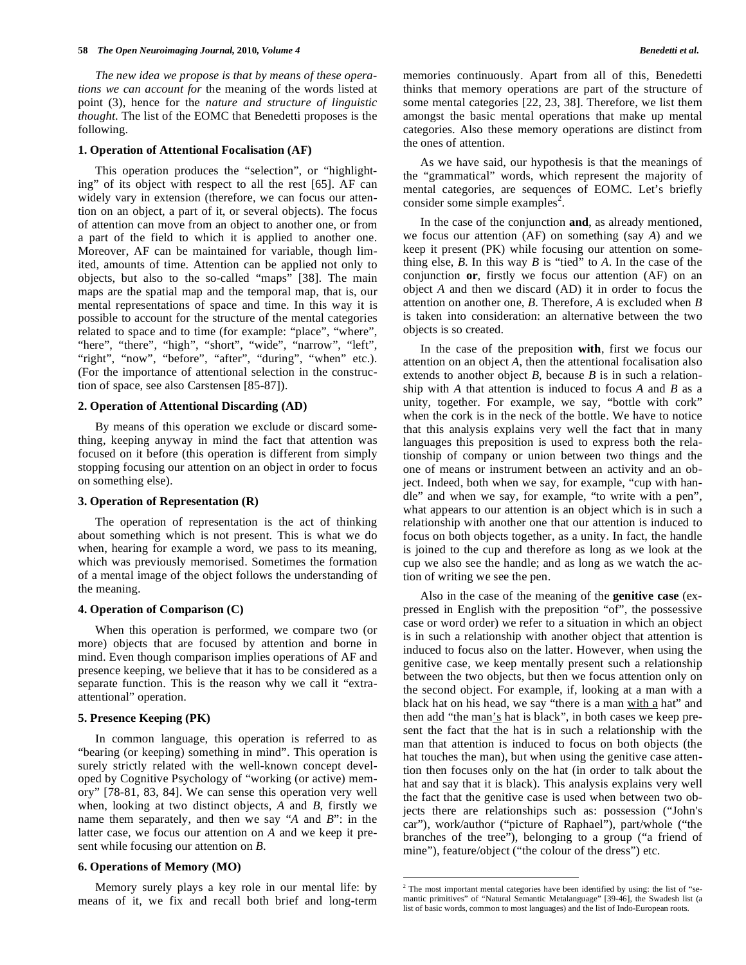#### **58** *The Open Neuroimaging Journal,* **2010***, Volume 4 Benedetti et al.*

 *The new idea we propose is that by means of these operations we can account for* the meaning of the words listed at point (3), hence for the *nature and structure of linguistic thought*. The list of the EOMC that Benedetti proposes is the following.

#### **1. Operation of Attentional Focalisation (AF)**

 This operation produces the "selection", or "highlighting" of its object with respect to all the rest [65]. AF can widely vary in extension (therefore, we can focus our attention on an object, a part of it, or several objects). The focus of attention can move from an object to another one, or from a part of the field to which it is applied to another one. Moreover, AF can be maintained for variable, though limited, amounts of time. Attention can be applied not only to objects, but also to the so-called "maps" [38]. The main maps are the spatial map and the temporal map, that is, our mental representations of space and time. In this way it is possible to account for the structure of the mental categories related to space and to time (for example: "place", "where", "here", "there", "high", "short", "wide", "narrow", "left", "right", "now", "before", "after", "during", "when" etc.). (For the importance of attentional selection in the construction of space, see also Carstensen [85-87]).

#### **2. Operation of Attentional Discarding (AD)**

 By means of this operation we exclude or discard something, keeping anyway in mind the fact that attention was focused on it before (this operation is different from simply stopping focusing our attention on an object in order to focus on something else).

#### **3. Operation of Representation (R)**

 The operation of representation is the act of thinking about something which is not present. This is what we do when, hearing for example a word, we pass to its meaning, which was previously memorised. Sometimes the formation of a mental image of the object follows the understanding of the meaning.

# **4. Operation of Comparison (C)**

 When this operation is performed, we compare two (or more) objects that are focused by attention and borne in mind. Even though comparison implies operations of AF and presence keeping, we believe that it has to be considered as a separate function. This is the reason why we call it "extraattentional" operation.

# **5. Presence Keeping (PK)**

 In common language, this operation is referred to as "bearing (or keeping) something in mind". This operation is surely strictly related with the well-known concept developed by Cognitive Psychology of "working (or active) memory" [78-81, 83, 84]. We can sense this operation very well when, looking at two distinct objects, *A* and *B*, firstly we name them separately, and then we say "*A* and *B*": in the latter case, we focus our attention on *A* and we keep it present while focusing our attention on *B*.

#### **6. Operations of Memory (MO)**

 Memory surely plays a key role in our mental life: by means of it, we fix and recall both brief and long-term memories continuously. Apart from all of this, Benedetti thinks that memory operations are part of the structure of some mental categories [22, 23, 38]. Therefore, we list them amongst the basic mental operations that make up mental categories. Also these memory operations are distinct from the ones of attention.

 As we have said, our hypothesis is that the meanings of the "grammatical" words, which represent the majority of mental categories, are sequences of EOMC. Let's briefly consider some simple examples<sup>2</sup>.

 In the case of the conjunction **and**, as already mentioned, we focus our attention (AF) on something (say *A*) and we keep it present (PK) while focusing our attention on something else, *B*. In this way *B* is "tied" to *A*. In the case of the conjunction **or**, firstly we focus our attention (AF) on an object *A* and then we discard (AD) it in order to focus the attention on another one, *B*. Therefore, *A* is excluded when *B*  is taken into consideration: an alternative between the two objects is so created.

 In the case of the preposition **with**, first we focus our attention on an object *A*, then the attentional focalisation also extends to another object *B*, because *B* is in such a relationship with *A* that attention is induced to focus *A* and *B* as a unity, together. For example, we say, "bottle with cork" when the cork is in the neck of the bottle. We have to notice that this analysis explains very well the fact that in many languages this preposition is used to express both the relationship of company or union between two things and the one of means or instrument between an activity and an object. Indeed, both when we say, for example, "cup with handle" and when we say, for example, "to write with a pen", what appears to our attention is an object which is in such a relationship with another one that our attention is induced to focus on both objects together, as a unity. In fact, the handle is joined to the cup and therefore as long as we look at the cup we also see the handle; and as long as we watch the action of writing we see the pen.

 Also in the case of the meaning of the **genitive case** (expressed in English with the preposition "of", the possessive case or word order) we refer to a situation in which an object is in such a relationship with another object that attention is induced to focus also on the latter. However, when using the genitive case, we keep mentally present such a relationship between the two objects, but then we focus attention only on the second object. For example, if, looking at a man with a black hat on his head, we say "there is a man with a hat" and then add "the man's hat is black", in both cases we keep present the fact that the hat is in such a relationship with the man that attention is induced to focus on both objects (the hat touches the man), but when using the genitive case attention then focuses only on the hat (in order to talk about the hat and say that it is black). This analysis explains very well the fact that the genitive case is used when between two objects there are relationships such as: possession ("John's car"), work/author ("picture of Raphael"), part/whole ("the branches of the tree"), belonging to a group ("a friend of mine"), feature/object ("the colour of the dress") etc.

 $\overline{a}$ 

 $2$  The most important mental categories have been identified by using: the list of "semantic primitives" of "Natural Semantic Metalanguage" [39-46], the Swadesh list (a list of basic words, common to most languages) and the list of Indo-European roots.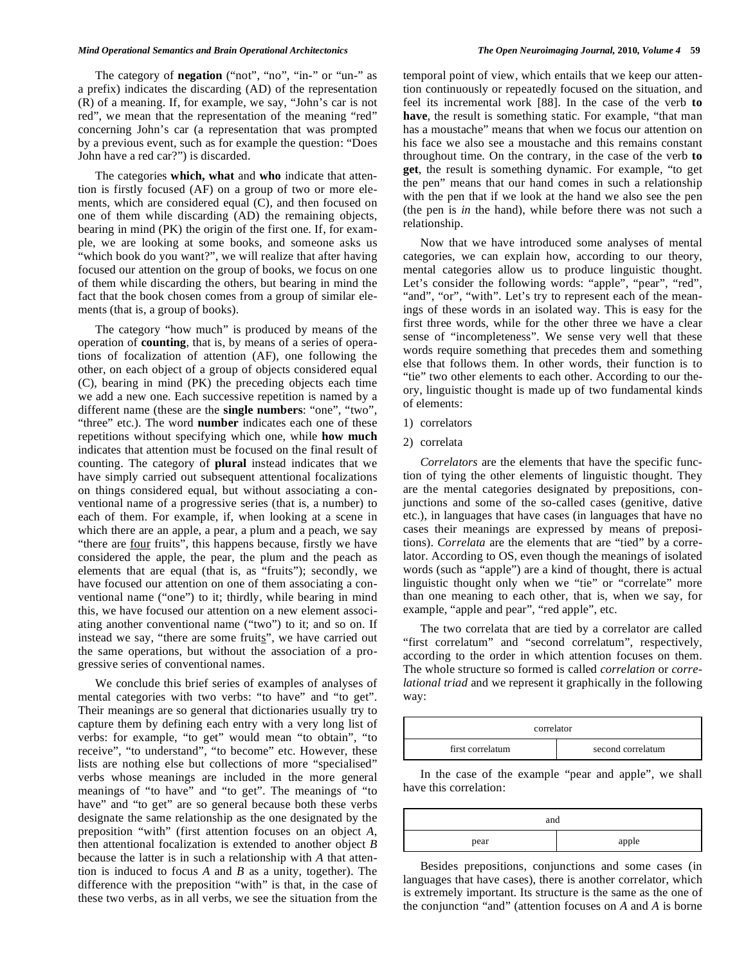#### *Mind Operational Semantics and Brain Operational Architectonics The Open Neuroimaging Journal,* **2010***, Volume 4* **59**

The category of **negation** ("not", "no", "in-" or "un-" as a prefix) indicates the discarding (AD) of the representation (R) of a meaning. If, for example, we say, "John's car is not red", we mean that the representation of the meaning "red" concerning John's car (a representation that was prompted by a previous event, such as for example the question: "Does John have a red car?") is discarded.

 The categories **which, what** and **who** indicate that attention is firstly focused (AF) on a group of two or more elements, which are considered equal (C), and then focused on one of them while discarding (AD) the remaining objects, bearing in mind (PK) the origin of the first one. If, for example, we are looking at some books, and someone asks us "which book do you want?", we will realize that after having focused our attention on the group of books, we focus on one of them while discarding the others, but bearing in mind the fact that the book chosen comes from a group of similar elements (that is, a group of books).

 The category "how much" is produced by means of the operation of **counting**, that is, by means of a series of operations of focalization of attention (AF), one following the other, on each object of a group of objects considered equal (C), bearing in mind (PK) the preceding objects each time we add a new one. Each successive repetition is named by a different name (these are the **single numbers**: "one", "two", "three" etc.). The word **number** indicates each one of these repetitions without specifying which one, while **how much** indicates that attention must be focused on the final result of counting. The category of **plural** instead indicates that we have simply carried out subsequent attentional focalizations on things considered equal, but without associating a conventional name of a progressive series (that is, a number) to each of them. For example, if, when looking at a scene in which there are an apple, a pear, a plum and a peach, we say "there are <u>four</u> fruits", this happens because, firstly we have considered the apple, the pear, the plum and the peach as elements that are equal (that is, as "fruits"); secondly, we have focused our attention on one of them associating a conventional name ("one") to it; thirdly, while bearing in mind this, we have focused our attention on a new element associating another conventional name ("two") to it; and so on. If instead we say, "there are some fruits", we have carried out the same operations, but without the association of a progressive series of conventional names.

 We conclude this brief series of examples of analyses of mental categories with two verbs: "to have" and "to get". Their meanings are so general that dictionaries usually try to capture them by defining each entry with a very long list of verbs: for example, "to get" would mean "to obtain", "to receive", "to understand", "to become" etc. However, these lists are nothing else but collections of more "specialised" verbs whose meanings are included in the more general meanings of "to have" and "to get". The meanings of "to have" and "to get" are so general because both these verbs designate the same relationship as the one designated by the preposition "with" (first attention focuses on an object *A*, then attentional focalization is extended to another object *B*  because the latter is in such a relationship with *A* that attention is induced to focus *A* and *B* as a unity, together). The difference with the preposition "with" is that, in the case of these two verbs, as in all verbs, we see the situation from the

temporal point of view, which entails that we keep our attention continuously or repeatedly focused on the situation, and feel its incremental work [88]. In the case of the verb **to have**, the result is something static. For example, "that man has a moustache" means that when we focus our attention on his face we also see a moustache and this remains constant throughout time. On the contrary, in the case of the verb **to get**, the result is something dynamic. For example, "to get the pen" means that our hand comes in such a relationship with the pen that if we look at the hand we also see the pen (the pen is *in* the hand), while before there was not such a relationship.

 Now that we have introduced some analyses of mental categories, we can explain how, according to our theory, mental categories allow us to produce linguistic thought. Let's consider the following words: "apple", "pear", "red", "and", "or", "with". Let's try to represent each of the meanings of these words in an isolated way. This is easy for the first three words, while for the other three we have a clear sense of "incompleteness". We sense very well that these words require something that precedes them and something else that follows them. In other words, their function is to "tie" two other elements to each other. According to our theory, linguistic thought is made up of two fundamental kinds of elements:

- 1) correlators
- 2) correlata

 *Correlators* are the elements that have the specific function of tying the other elements of linguistic thought. They are the mental categories designated by prepositions, conjunctions and some of the so-called cases (genitive, dative etc.), in languages that have cases (in languages that have no cases their meanings are expressed by means of prepositions). *Correlata* are the elements that are "tied" by a correlator. According to OS, even though the meanings of isolated words (such as "apple") are a kind of thought, there is actual linguistic thought only when we "tie" or "correlate" more than one meaning to each other, that is, when we say, for example, "apple and pear", "red apple", etc.

 The two correlata that are tied by a correlator are called "first correlatum" and "second correlatum", respectively, according to the order in which attention focuses on them. The whole structure so formed is called *correlation* or *correlational triad* and we represent it graphically in the following way:

| correlator       |                   |  |  |  |  |  |
|------------------|-------------------|--|--|--|--|--|
| first correlatum | second correlatum |  |  |  |  |  |

 In the case of the example "pear and apple", we shall have this correlation:

| and  |       |  |  |  |  |  |
|------|-------|--|--|--|--|--|
| pear | apple |  |  |  |  |  |

 Besides prepositions, conjunctions and some cases (in languages that have cases), there is another correlator, which is extremely important. Its structure is the same as the one of the conjunction "and" (attention focuses on *A* and *A* is borne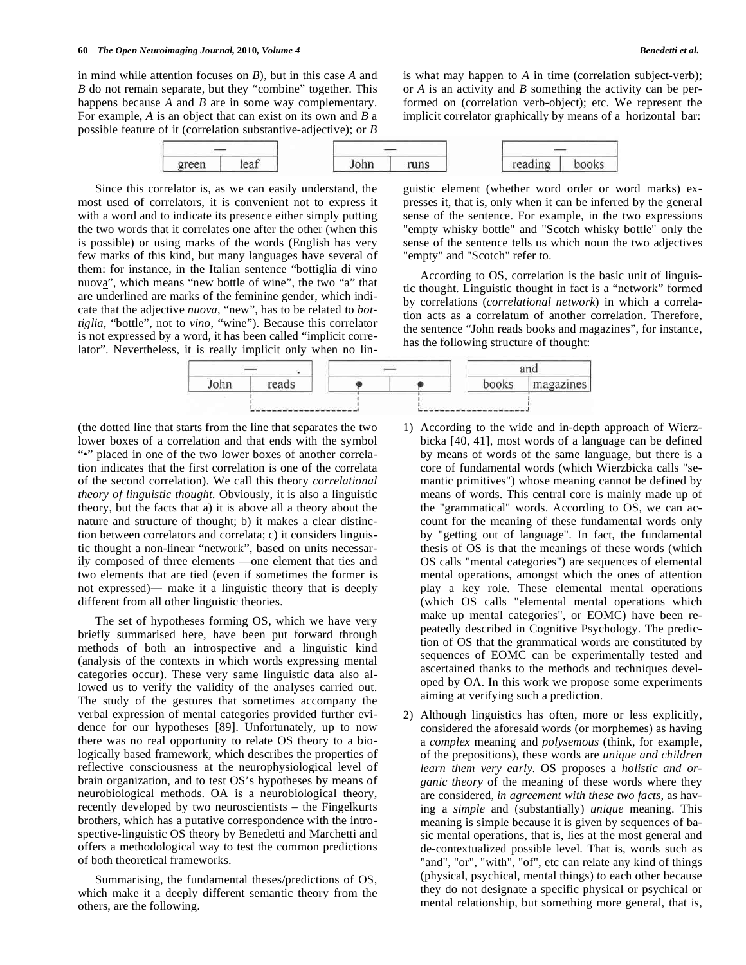in mind while attention focuses on *B*), but in this case *A* and *B* do not remain separate, but they "combine" together. This happens because *A* and *B* are in some way complementary. For example, *A* is an object that can exist on its own and *B* a possible feature of it (correlation substantive-adjective); or *B*

| green | leat | John | runs | reading | books |  |  |
|-------|------|------|------|---------|-------|--|--|

 Since this correlator is, as we can easily understand, the most used of correlators, it is convenient not to express it with a word and to indicate its presence either simply putting the two words that it correlates one after the other (when this is possible) or using marks of the words (English has very few marks of this kind, but many languages have several of them: for instance, in the Italian sentence "bottiglia di vino nuova", which means "new bottle of wine", the two "a" that are underlined are marks of the feminine gender, which indicate that the adjective *nuova*, "new", has to be related to *bottiglia*, "bottle", not to *vino*, "wine"). Because this correlator is not expressed by a word, it has been called "implicit correlator". Nevertheless, it is really implicit only when no linor *A* is an activity and *B* something the activity can be performed on (correlation verb-object); etc. We represent the implicit correlator graphically by means of a horizontal bar:

is what may happen to *A* in time (correlation subject-verb);

guistic element (whether word order or word marks) expresses it, that is, only when it can be inferred by the general sense of the sentence. For example, in the two expressions "empty whisky bottle" and "Scotch whisky bottle" only the sense of the sentence tells us which noun the two adjectives "empty" and "Scotch" refer to.

 According to OS, correlation is the basic unit of linguistic thought. Linguistic thought in fact is a "network" formed by correlations (*correlational network*) in which a correlation acts as a correlatum of another correlation. Therefore, the sentence "John reads books and magazines", for instance, has the following structure of thought:



(the dotted line that starts from the line that separates the two lower boxes of a correlation and that ends with the symbol "•" placed in one of the two lower boxes of another correlation indicates that the first correlation is one of the correlata of the second correlation). We call this theory *correlational theory of linguistic thought*. Obviously, it is also a linguistic theory, but the facts that a) it is above all a theory about the nature and structure of thought; b) it makes a clear distinction between correlators and correlata; c) it considers linguistic thought a non-linear "network", based on units necessarily composed of three elements —one element that ties and two elements that are tied (even if sometimes the former is not expressed)— make it a linguistic theory that is deeply different from all other linguistic theories.

 The set of hypotheses forming OS, which we have very briefly summarised here, have been put forward through methods of both an introspective and a linguistic kind (analysis of the contexts in which words expressing mental categories occur). These very same linguistic data also allowed us to verify the validity of the analyses carried out. The study of the gestures that sometimes accompany the verbal expression of mental categories provided further evidence for our hypotheses [89]. Unfortunately, up to now there was no real opportunity to relate OS theory to a biologically based framework, which describes the properties of reflective consciousness at the neurophysiological level of brain organization, and to test OS's hypotheses by means of neurobiological methods. OA is a neurobiological theory, recently developed by two neuroscientists – the Fingelkurts brothers, which has a putative correspondence with the introspective-linguistic OS theory by Benedetti and Marchetti and offers a methodological way to test the common predictions of both theoretical frameworks.

 Summarising, the fundamental theses/predictions of OS, which make it a deeply different semantic theory from the others, are the following.

- 1) According to the wide and in-depth approach of Wierzbicka [40, 41], most words of a language can be defined by means of words of the same language, but there is a core of fundamental words (which Wierzbicka calls "semantic primitives") whose meaning cannot be defined by means of words. This central core is mainly made up of the "grammatical" words. According to OS, we can account for the meaning of these fundamental words only by "getting out of language". In fact, the fundamental thesis of OS is that the meanings of these words (which OS calls "mental categories") are sequences of elemental mental operations, amongst which the ones of attention play a key role. These elemental mental operations (which OS calls "elemental mental operations which make up mental categories", or EOMC) have been repeatedly described in Cognitive Psychology. The prediction of OS that the grammatical words are constituted by sequences of EOMC can be experimentally tested and ascertained thanks to the methods and techniques developed by OA. In this work we propose some experiments aiming at verifying such a prediction.
- 2) Although linguistics has often, more or less explicitly, considered the aforesaid words (or morphemes) as having a *complex* meaning and *polysemous* (think, for example, of the prepositions), these words are *unique and children learn them very early*. OS proposes a *holistic and organic theory* of the meaning of these words where they are considered, *in agreement with these two facts*, as having a *simple* and (substantially) *unique* meaning. This meaning is simple because it is given by sequences of basic mental operations, that is, lies at the most general and de-contextualized possible level. That is, words such as "and", "or", "with", "of", etc can relate any kind of things (physical, psychical, mental things) to each other because they do not designate a specific physical or psychical or mental relationship, but something more general, that is,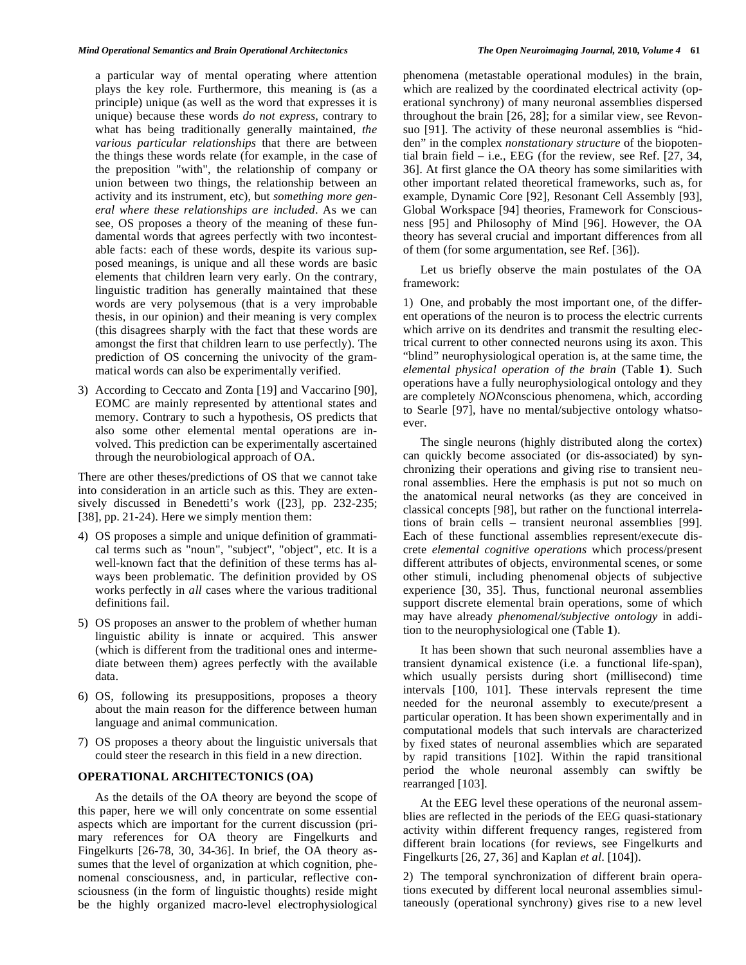a particular way of mental operating where attention plays the key role. Furthermore, this meaning is (as a principle) unique (as well as the word that expresses it is unique) because these words *do not express*, contrary to what has being traditionally generally maintained, *the various particular relationships* that there are between the things these words relate (for example, in the case of the preposition "with", the relationship of company or union between two things, the relationship between an activity and its instrument, etc), but *something more general where these relationships are included*. As we can see, OS proposes a theory of the meaning of these fundamental words that agrees perfectly with two incontestable facts: each of these words, despite its various supposed meanings, is unique and all these words are basic elements that children learn very early. On the contrary, linguistic tradition has generally maintained that these words are very polysemous (that is a very improbable thesis, in our opinion) and their meaning is very complex (this disagrees sharply with the fact that these words are amongst the first that children learn to use perfectly). The prediction of OS concerning the univocity of the grammatical words can also be experimentally verified.

3) According to Ceccato and Zonta [19] and Vaccarino [90], EOMC are mainly represented by attentional states and memory. Contrary to such a hypothesis, OS predicts that also some other elemental mental operations are involved. This prediction can be experimentally ascertained through the neurobiological approach of OA.

There are other theses/predictions of OS that we cannot take into consideration in an article such as this. They are extensively discussed in Benedetti's work ([23], pp. 232-235; [38], pp. 21-24). Here we simply mention them:

- 4) OS proposes a simple and unique definition of grammatical terms such as "noun", "subject", "object", etc. It is a well-known fact that the definition of these terms has always been problematic. The definition provided by OS works perfectly in *all* cases where the various traditional definitions fail.
- 5) OS proposes an answer to the problem of whether human linguistic ability is innate or acquired. This answer (which is different from the traditional ones and intermediate between them) agrees perfectly with the available data.
- 6) OS, following its presuppositions, proposes a theory about the main reason for the difference between human language and animal communication.
- 7) OS proposes a theory about the linguistic universals that could steer the research in this field in a new direction.

# **OPERATIONAL ARCHITECTONICS (OA)**

 As the details of the OA theory are beyond the scope of this paper, here we will only concentrate on some essential aspects which are important for the current discussion (primary references for OA theory are Fingelkurts and Fingelkurts [26-78, 30, 34-36]. In brief, the OA theory assumes that the level of organization at which cognition, phenomenal consciousness, and, in particular, reflective consciousness (in the form of linguistic thoughts) reside might be the highly organized macro-level electrophysiological

phenomena (metastable operational modules) in the brain, which are realized by the coordinated electrical activity (operational synchrony) of many neuronal assemblies dispersed throughout the brain [26, 28]; for a similar view, see Revonsuo [91]. The activity of these neuronal assemblies is "hidden" in the complex *nonstationary structure* of the biopotential brain field – i.e., EEG (for the review, see Ref. [27, 34, 36]. At first glance the OA theory has some similarities with other important related theoretical frameworks, such as, for example, Dynamic Core [92], Resonant Cell Assembly [93], Global Workspace [94] theories, Framework for Consciousness [95] and Philosophy of Mind [96]. However, the OA theory has several crucial and important differences from all of them (for some argumentation, see Ref. [36]).

 Let us briefly observe the main postulates of the OA framework:

1) One, and probably the most important one, of the different operations of the neuron is to process the electric currents which arrive on its dendrites and transmit the resulting electrical current to other connected neurons using its axon. This "blind" neurophysiological operation is, at the same time, the *elemental physical operation of the brain* (Table **1**). Such operations have a fully neurophysiological ontology and they are completely *NON*conscious phenomena, which, according to Searle [97], have no mental/subjective ontology whatsoever.

 The single neurons (highly distributed along the cortex) can quickly become associated (or dis-associated) by synchronizing their operations and giving rise to transient neuronal assemblies. Here the emphasis is put not so much on the anatomical neural networks (as they are conceived in classical concepts [98], but rather on the functional interrelations of brain cells – transient neuronal assemblies [99]. Each of these functional assemblies represent/execute discrete *elemental cognitive operations* which process/present different attributes of objects, environmental scenes, or some other stimuli, including phenomenal objects of subjective experience [30, 35]. Thus, functional neuronal assemblies support discrete elemental brain operations, some of which may have already *phenomenal/subjective ontology* in addition to the neurophysiological one (Table **1**).

 It has been shown that such neuronal assemblies have a transient dynamical existence (i.e. a functional life-span), which usually persists during short (millisecond) time intervals [100, 101]. These intervals represent the time needed for the neuronal assembly to execute/present a particular operation. It has been shown experimentally and in computational models that such intervals are characterized by fixed states of neuronal assemblies which are separated by rapid transitions [102]. Within the rapid transitional period the whole neuronal assembly can swiftly be rearranged [103].

 At the EEG level these operations of the neuronal assemblies are reflected in the periods of the EEG quasi-stationary activity within different frequency ranges, registered from different brain locations (for reviews, see Fingelkurts and Fingelkurts [26, 27, 36] and Kaplan *et al*. [104]).

2) The temporal synchronization of different brain operations executed by different local neuronal assemblies simultaneously (operational synchrony) gives rise to a new level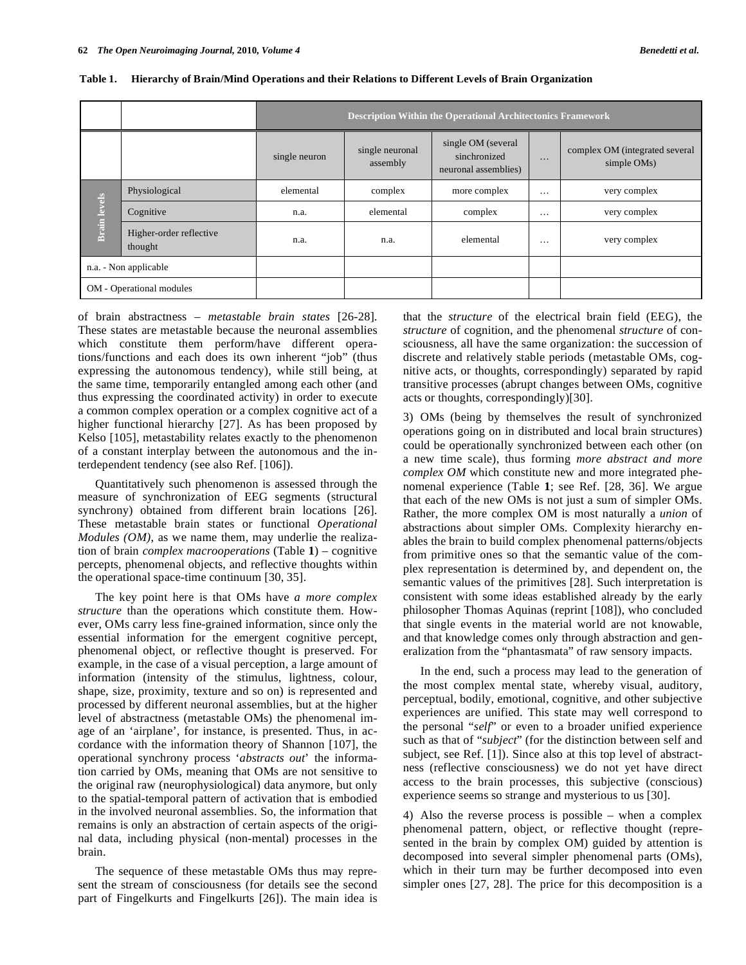|                          |                                    | <b>Description Within the Operational Architectonics Framework</b> |                             |                                                            |          |                                               |  |  |  |
|--------------------------|------------------------------------|--------------------------------------------------------------------|-----------------------------|------------------------------------------------------------|----------|-----------------------------------------------|--|--|--|
|                          |                                    | single neuron                                                      | single neuronal<br>assembly | single OM (several<br>sinchronized<br>neuronal assemblies) | $\cdot$  | complex OM (integrated several<br>simple OMs) |  |  |  |
| <b>Brain</b> levels      | Physiological                      | elemental                                                          | complex                     | more complex                                               | $\cdots$ | very complex                                  |  |  |  |
|                          | Cognitive                          | n.a.                                                               | elemental                   | complex                                                    | $\cdots$ | very complex                                  |  |  |  |
|                          | Higher-order reflective<br>thought | n.a.                                                               | n.a.                        | elemental                                                  | $\cdots$ | very complex                                  |  |  |  |
| n.a. - Non applicable    |                                    |                                                                    |                             |                                                            |          |                                               |  |  |  |
| OM - Operational modules |                                    |                                                                    |                             |                                                            |          |                                               |  |  |  |

|  | Table 1. Hierarchy of Brain/Mind Operations and their Relations to Different Levels of Brain Organization |  |  |  |  |
|--|-----------------------------------------------------------------------------------------------------------|--|--|--|--|
|  |                                                                                                           |  |  |  |  |

of brain abstractness – *metastable brain states* [26-28]. These states are metastable because the neuronal assemblies which constitute them perform/have different operations/functions and each does its own inherent "job" (thus expressing the autonomous tendency), while still being, at the same time, temporarily entangled among each other (and thus expressing the coordinated activity) in order to execute a common complex operation or a complex cognitive act of a higher functional hierarchy [27]. As has been proposed by Kelso [105], metastability relates exactly to the phenomenon of a constant interplay between the autonomous and the interdependent tendency (see also Ref. [106]).

 Quantitatively such phenomenon is assessed through the measure of synchronization of EEG segments (structural synchrony) obtained from different brain locations [26]. These metastable brain states or functional *Operational Modules (OM)*, as we name them, may underlie the realization of brain *complex macrooperations* (Table **1**) – cognitive percepts, phenomenal objects, and reflective thoughts within the operational space-time continuum [30, 35].

 The key point here is that OMs have *a more complex structure* than the operations which constitute them. However, OMs carry less fine-grained information, since only the essential information for the emergent cognitive percept, phenomenal object, or reflective thought is preserved. For example, in the case of a visual perception, a large amount of information (intensity of the stimulus, lightness, colour, shape, size, proximity, texture and so on) is represented and processed by different neuronal assemblies, but at the higher level of abstractness (metastable OMs) the phenomenal image of an 'airplane', for instance, is presented. Thus, in accordance with the information theory of Shannon [107], the operational synchrony process '*abstracts out*' the information carried by OMs, meaning that OMs are not sensitive to the original raw (neurophysiological) data anymore, but only to the spatial-temporal pattern of activation that is embodied in the involved neuronal assemblies. So, the information that remains is only an abstraction of certain aspects of the original data, including physical (non-mental) processes in the brain.

 The sequence of these metastable OMs thus may represent the stream of consciousness (for details see the second part of Fingelkurts and Fingelkurts [26]). The main idea is

that the *structure* of the electrical brain field (EEG), the *structure* of cognition, and the phenomenal *structure* of consciousness, all have the same organization: the succession of discrete and relatively stable periods (metastable OMs, cognitive acts, or thoughts, correspondingly) separated by rapid transitive processes (abrupt changes between OMs, cognitive acts or thoughts, correspondingly)[30].

3) OMs (being by themselves the result of synchronized operations going on in distributed and local brain structures) could be operationally synchronized between each other (on a new time scale), thus forming *more abstract and more complex OM* which constitute new and more integrated phenomenal experience (Table **1**; see Ref. [28, 36]. We argue that each of the new OMs is not just a sum of simpler OMs. Rather, the more complex OM is most naturally a *union* of abstractions about simpler OMs. Complexity hierarchy enables the brain to build complex phenomenal patterns/objects from primitive ones so that the semantic value of the complex representation is determined by, and dependent on, the semantic values of the primitives [28]. Such interpretation is consistent with some ideas established already by the early philosopher Thomas Aquinas (reprint [108]), who concluded that single events in the material world are not knowable, and that knowledge comes only through abstraction and generalization from the "phantasmata" of raw sensory impacts.

 In the end, such a process may lead to the generation of the most complex mental state, whereby visual, auditory, perceptual, bodily, emotional, cognitive, and other subjective experiences are unified. This state may well correspond to the personal "*self*" or even to a broader unified experience such as that of "*subject*" (for the distinction between self and subject, see Ref. [1]). Since also at this top level of abstractness (reflective consciousness) we do not yet have direct access to the brain processes, this subjective (conscious) experience seems so strange and mysterious to us [30].

4) Also the reverse process is possible – when a complex phenomenal pattern, object, or reflective thought (represented in the brain by complex OM) guided by attention is decomposed into several simpler phenomenal parts (OMs), which in their turn may be further decomposed into even simpler ones [27, 28]. The price for this decomposition is a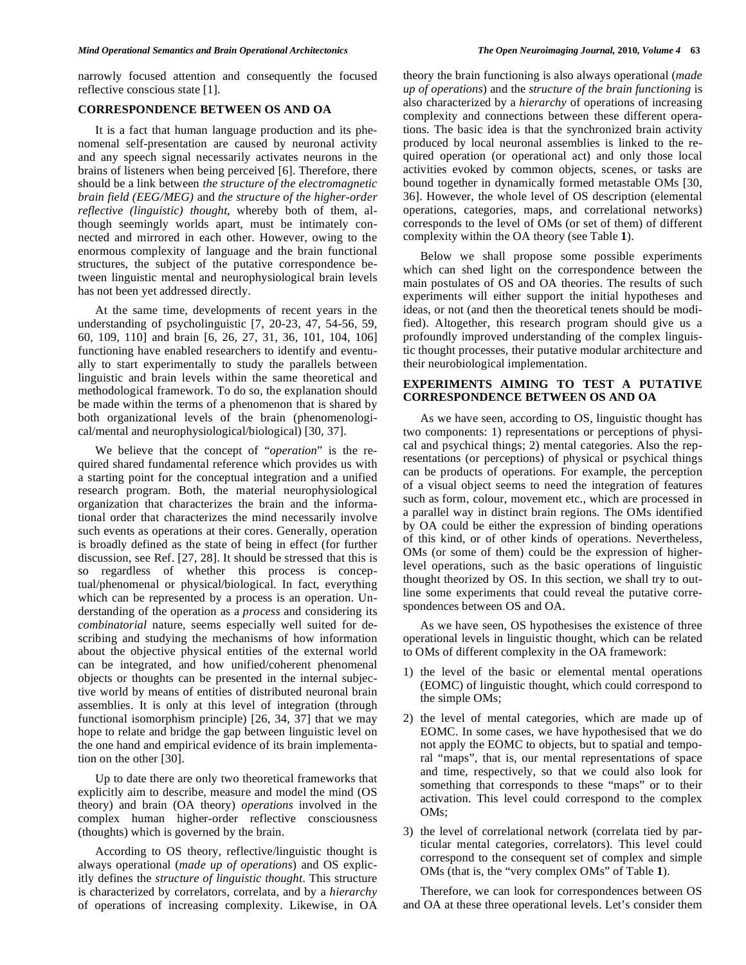narrowly focused attention and consequently the focused reflective conscious state [1].

# **CORRESPONDENCE BETWEEN OS AND OA**

 It is a fact that human language production and its phenomenal self-presentation are caused by neuronal activity and any speech signal necessarily activates neurons in the brains of listeners when being perceived [6]. Therefore, there should be a link between *the structure of the electromagnetic brain field (EEG/MEG)* and *the structure of the higher-order reflective (linguistic) thought*, whereby both of them, although seemingly worlds apart, must be intimately connected and mirrored in each other. However, owing to the enormous complexity of language and the brain functional structures, the subject of the putative correspondence between linguistic mental and neurophysiological brain levels has not been yet addressed directly.

 At the same time, developments of recent years in the understanding of psycholinguistic [7, 20-23, 47, 54-56, 59, 60, 109, 110] and brain [6, 26, 27, 31, 36, 101, 104, 106] functioning have enabled researchers to identify and eventually to start experimentally to study the parallels between linguistic and brain levels within the same theoretical and methodological framework. To do so, the explanation should be made within the terms of a phenomenon that is shared by both organizational levels of the brain (phenomenological/mental and neurophysiological/biological) [30, 37].

 We believe that the concept of "*operation*" is the required shared fundamental reference which provides us with a starting point for the conceptual integration and a unified research program. Both, the material neurophysiological organization that characterizes the brain and the informational order that characterizes the mind necessarily involve such events as operations at their cores. Generally, operation is broadly defined as the state of being in effect (for further discussion, see Ref. [27, 28]. It should be stressed that this is so regardless of whether this process is conceptual/phenomenal or physical/biological. In fact, everything which can be represented by a process is an operation. Understanding of the operation as a *process* and considering its *combinatorial* nature, seems especially well suited for describing and studying the mechanisms of how information about the objective physical entities of the external world can be integrated, and how unified/coherent phenomenal objects or thoughts can be presented in the internal subjective world by means of entities of distributed neuronal brain assemblies. It is only at this level of integration (through functional isomorphism principle) [26, 34, 37] that we may hope to relate and bridge the gap between linguistic level on the one hand and empirical evidence of its brain implementation on the other [30].

 Up to date there are only two theoretical frameworks that explicitly aim to describe, measure and model the mind (OS theory) and brain (OA theory) *operations* involved in the complex human higher-order reflective consciousness (thoughts) which is governed by the brain.

 According to OS theory, reflective/linguistic thought is always operational (*made up of operations*) and OS explicitly defines the *structure of linguistic thought*. This structure is characterized by correlators, correlata, and by a *hierarchy* of operations of increasing complexity. Likewise, in OA

theory the brain functioning is also always operational (*made up of operations*) and the *structure of the brain functioning* is also characterized by a *hierarchy* of operations of increasing complexity and connections between these different operations. The basic idea is that the synchronized brain activity produced by local neuronal assemblies is linked to the required operation (or operational act) and only those local activities evoked by common objects, scenes, or tasks are bound together in dynamically formed metastable OMs [30, 36]. However, the whole level of OS description (elemental operations, categories, maps, and correlational networks) corresponds to the level of OMs (or set of them) of different complexity within the OA theory (see Table **1**).

 Below we shall propose some possible experiments which can shed light on the correspondence between the main postulates of OS and OA theories. The results of such experiments will either support the initial hypotheses and ideas, or not (and then the theoretical tenets should be modified). Altogether, this research program should give us a profoundly improved understanding of the complex linguistic thought processes, their putative modular architecture and their neurobiological implementation.

# **EXPERIMENTS AIMING TO TEST A PUTATIVE CORRESPONDENCE BETWEEN OS AND OA**

 As we have seen, according to OS, linguistic thought has two components: 1) representations or perceptions of physical and psychical things; 2) mental categories. Also the representations (or perceptions) of physical or psychical things can be products of operations. For example, the perception of a visual object seems to need the integration of features such as form, colour, movement etc., which are processed in a parallel way in distinct brain regions. The OMs identified by OA could be either the expression of binding operations of this kind, or of other kinds of operations. Nevertheless, OMs (or some of them) could be the expression of higherlevel operations, such as the basic operations of linguistic thought theorized by OS. In this section, we shall try to outline some experiments that could reveal the putative correspondences between OS and OA.

 As we have seen, OS hypothesises the existence of three operational levels in linguistic thought, which can be related to OMs of different complexity in the OA framework:

- 1) the level of the basic or elemental mental operations (EOMC) of linguistic thought, which could correspond to the simple OMs;
- 2) the level of mental categories, which are made up of EOMC. In some cases, we have hypothesised that we do not apply the EOMC to objects, but to spatial and temporal "maps", that is, our mental representations of space and time, respectively, so that we could also look for something that corresponds to these "maps" or to their activation. This level could correspond to the complex OMs;
- 3) the level of correlational network (correlata tied by particular mental categories, correlators). This level could correspond to the consequent set of complex and simple OMs (that is, the "very complex OMs" of Table **1**).

 Therefore, we can look for correspondences between OS and OA at these three operational levels. Let's consider them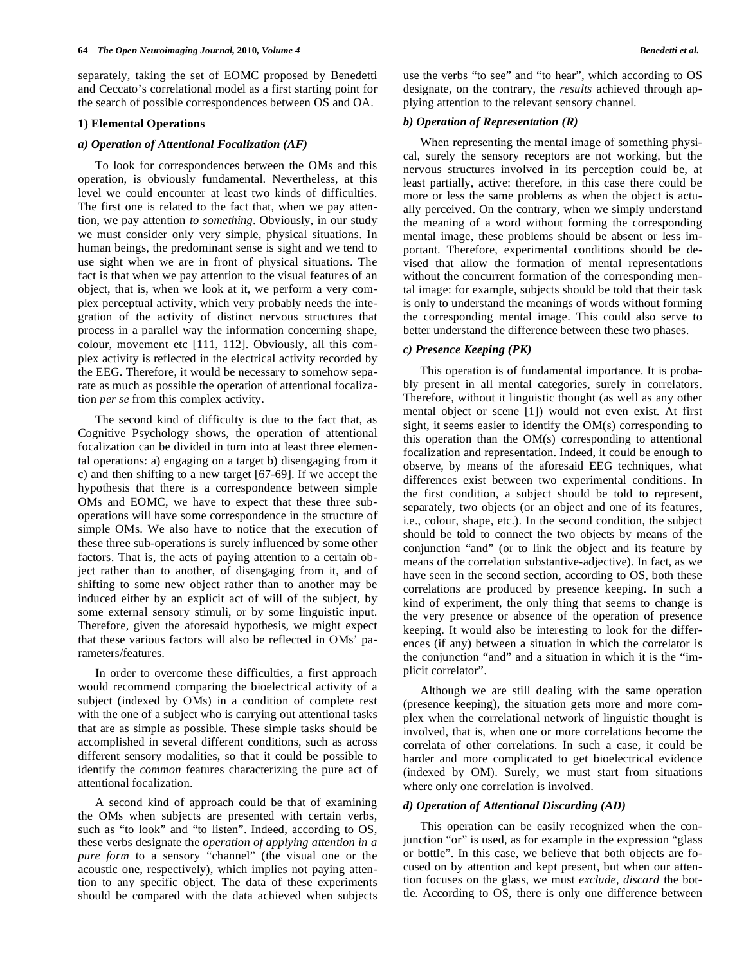separately, taking the set of EOMC proposed by Benedetti and Ceccato's correlational model as a first starting point for the search of possible correspondences between OS and OA.

#### **1) Elemental Operations**

#### *a) Operation of Attentional Focalization (AF)*

 To look for correspondences between the OMs and this operation, is obviously fundamental. Nevertheless, at this level we could encounter at least two kinds of difficulties. The first one is related to the fact that, when we pay attention, we pay attention *to something*. Obviously, in our study we must consider only very simple, physical situations. In human beings, the predominant sense is sight and we tend to use sight when we are in front of physical situations. The fact is that when we pay attention to the visual features of an object, that is, when we look at it, we perform a very complex perceptual activity, which very probably needs the integration of the activity of distinct nervous structures that process in a parallel way the information concerning shape, colour, movement etc [111, 112]. Obviously, all this complex activity is reflected in the electrical activity recorded by the EEG. Therefore, it would be necessary to somehow separate as much as possible the operation of attentional focalization *per se* from this complex activity.

 The second kind of difficulty is due to the fact that, as Cognitive Psychology shows, the operation of attentional focalization can be divided in turn into at least three elemental operations: a) engaging on a target b) disengaging from it c) and then shifting to a new target [67-69]. If we accept the hypothesis that there is a correspondence between simple OMs and EOMC, we have to expect that these three suboperations will have some correspondence in the structure of simple OMs. We also have to notice that the execution of these three sub-operations is surely influenced by some other factors. That is, the acts of paying attention to a certain object rather than to another, of disengaging from it, and of shifting to some new object rather than to another may be induced either by an explicit act of will of the subject, by some external sensory stimuli, or by some linguistic input. Therefore, given the aforesaid hypothesis, we might expect that these various factors will also be reflected in OMs' parameters/features.

 In order to overcome these difficulties, a first approach would recommend comparing the bioelectrical activity of a subject (indexed by OMs) in a condition of complete rest with the one of a subject who is carrying out attentional tasks that are as simple as possible. These simple tasks should be accomplished in several different conditions, such as across different sensory modalities, so that it could be possible to identify the *common* features characterizing the pure act of attentional focalization.

 A second kind of approach could be that of examining the OMs when subjects are presented with certain verbs, such as "to look" and "to listen". Indeed, according to OS, these verbs designate the *operation of applying attention in a pure form* to a sensory "channel" (the visual one or the acoustic one, respectively), which implies not paying attention to any specific object. The data of these experiments should be compared with the data achieved when subjects

use the verbs "to see" and "to hear", which according to OS designate, on the contrary, the *results* achieved through applying attention to the relevant sensory channel.

# *b) Operation of Representation (R)*

 When representing the mental image of something physical, surely the sensory receptors are not working, but the nervous structures involved in its perception could be, at least partially, active: therefore, in this case there could be more or less the same problems as when the object is actually perceived. On the contrary, when we simply understand the meaning of a word without forming the corresponding mental image, these problems should be absent or less important. Therefore, experimental conditions should be devised that allow the formation of mental representations without the concurrent formation of the corresponding mental image: for example, subjects should be told that their task is only to understand the meanings of words without forming the corresponding mental image. This could also serve to better understand the difference between these two phases.

#### *c) Presence Keeping (PK)*

 This operation is of fundamental importance. It is probably present in all mental categories, surely in correlators. Therefore, without it linguistic thought (as well as any other mental object or scene [1]) would not even exist. At first sight, it seems easier to identify the OM(s) corresponding to this operation than the OM(s) corresponding to attentional focalization and representation. Indeed, it could be enough to observe, by means of the aforesaid EEG techniques, what differences exist between two experimental conditions. In the first condition, a subject should be told to represent, separately, two objects (or an object and one of its features, i.e., colour, shape, etc.). In the second condition, the subject should be told to connect the two objects by means of the conjunction "and" (or to link the object and its feature by means of the correlation substantive-adjective). In fact, as we have seen in the second section, according to OS, both these correlations are produced by presence keeping. In such a kind of experiment, the only thing that seems to change is the very presence or absence of the operation of presence keeping. It would also be interesting to look for the differences (if any) between a situation in which the correlator is the conjunction "and" and a situation in which it is the "implicit correlator".

 Although we are still dealing with the same operation (presence keeping), the situation gets more and more complex when the correlational network of linguistic thought is involved, that is, when one or more correlations become the correlata of other correlations. In such a case, it could be harder and more complicated to get bioelectrical evidence (indexed by OM). Surely, we must start from situations where only one correlation is involved.

# *d) Operation of Attentional Discarding (AD)*

 This operation can be easily recognized when the conjunction "or" is used, as for example in the expression "glass or bottle". In this case, we believe that both objects are focused on by attention and kept present, but when our attention focuses on the glass, we must *exclude*, *discard* the bottle. According to OS, there is only one difference between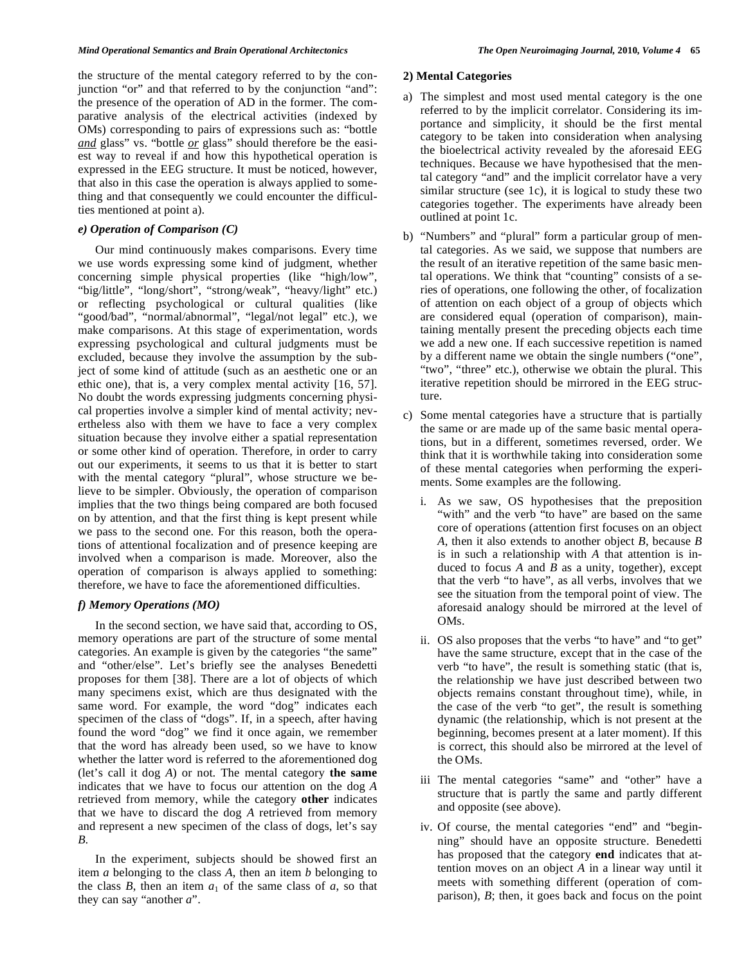the structure of the mental category referred to by the conjunction "or" and that referred to by the conjunction "and": the presence of the operation of AD in the former. The comparative analysis of the electrical activities (indexed by OMs) corresponding to pairs of expressions such as: "bottle *and* glass" vs. "bottle *or* glass" should therefore be the easiest way to reveal if and how this hypothetical operation is expressed in the EEG structure. It must be noticed, however, that also in this case the operation is always applied to something and that consequently we could encounter the difficulties mentioned at point a).

# *e) Operation of Comparison (C)*

 Our mind continuously makes comparisons. Every time we use words expressing some kind of judgment, whether concerning simple physical properties (like "high/low", "big/little", "long/short", "strong/weak", "heavy/light" etc.) or reflecting psychological or cultural qualities (like "good/bad", "normal/abnormal", "legal/not legal" etc.), we make comparisons. At this stage of experimentation, words expressing psychological and cultural judgments must be excluded, because they involve the assumption by the subject of some kind of attitude (such as an aesthetic one or an ethic one), that is, a very complex mental activity [16, 57]. No doubt the words expressing judgments concerning physical properties involve a simpler kind of mental activity; nevertheless also with them we have to face a very complex situation because they involve either a spatial representation or some other kind of operation. Therefore, in order to carry out our experiments, it seems to us that it is better to start with the mental category "plural", whose structure we believe to be simpler. Obviously, the operation of comparison implies that the two things being compared are both focused on by attention, and that the first thing is kept present while we pass to the second one. For this reason, both the operations of attentional focalization and of presence keeping are involved when a comparison is made. Moreover, also the operation of comparison is always applied to something: therefore, we have to face the aforementioned difficulties.

# *f) Memory Operations (MO)*

 In the second section, we have said that, according to OS, memory operations are part of the structure of some mental categories. An example is given by the categories "the same" and "other/else". Let's briefly see the analyses Benedetti proposes for them [38]. There are a lot of objects of which many specimens exist, which are thus designated with the same word. For example, the word "dog" indicates each specimen of the class of "dogs". If, in a speech, after having found the word "dog" we find it once again, we remember that the word has already been used, so we have to know whether the latter word is referred to the aforementioned dog (let's call it dog *A*) or not. The mental category **the same** indicates that we have to focus our attention on the dog *A* retrieved from memory, while the category **other** indicates that we have to discard the dog *A* retrieved from memory and represent a new specimen of the class of dogs, let's say *B*.

 In the experiment, subjects should be showed first an item *a* belonging to the class *A*, then an item *b* belonging to the class  $B$ , then an item  $a_1$  of the same class of  $a$ , so that they can say "another *a*".

#### **2) Mental Categories**

- a) The simplest and most used mental category is the one referred to by the implicit correlator. Considering its importance and simplicity, it should be the first mental category to be taken into consideration when analysing the bioelectrical activity revealed by the aforesaid EEG techniques. Because we have hypothesised that the mental category "and" and the implicit correlator have a very similar structure (see 1c), it is logical to study these two categories together. The experiments have already been outlined at point 1c.
- b) "Numbers" and "plural" form a particular group of mental categories. As we said, we suppose that numbers are the result of an iterative repetition of the same basic mental operations. We think that "counting" consists of a series of operations, one following the other, of focalization of attention on each object of a group of objects which are considered equal (operation of comparison), maintaining mentally present the preceding objects each time we add a new one. If each successive repetition is named by a different name we obtain the single numbers ("one", "two", "three" etc.), otherwise we obtain the plural. This iterative repetition should be mirrored in the EEG structure.
- c) Some mental categories have a structure that is partially the same or are made up of the same basic mental operations, but in a different, sometimes reversed, order. We think that it is worthwhile taking into consideration some of these mental categories when performing the experiments. Some examples are the following.
	- i. As we saw, OS hypothesises that the preposition "with" and the verb "to have" are based on the same core of operations (attention first focuses on an object *A*, then it also extends to another object *B*, because *B* is in such a relationship with *A* that attention is induced to focus *A* and *B* as a unity, together), except that the verb "to have", as all verbs, involves that we see the situation from the temporal point of view. The aforesaid analogy should be mirrored at the level of OMs.
	- ii. OS also proposes that the verbs "to have" and "to get" have the same structure, except that in the case of the verb "to have", the result is something static (that is, the relationship we have just described between two objects remains constant throughout time), while, in the case of the verb "to get", the result is something dynamic (the relationship, which is not present at the beginning, becomes present at a later moment). If this is correct, this should also be mirrored at the level of the OMs.
	- iii The mental categories "same" and "other" have a structure that is partly the same and partly different and opposite (see above).
	- iv. Of course, the mental categories "end" and "beginning" should have an opposite structure. Benedetti has proposed that the category **end** indicates that attention moves on an object *A* in a linear way until it meets with something different (operation of comparison), *B*; then, it goes back and focus on the point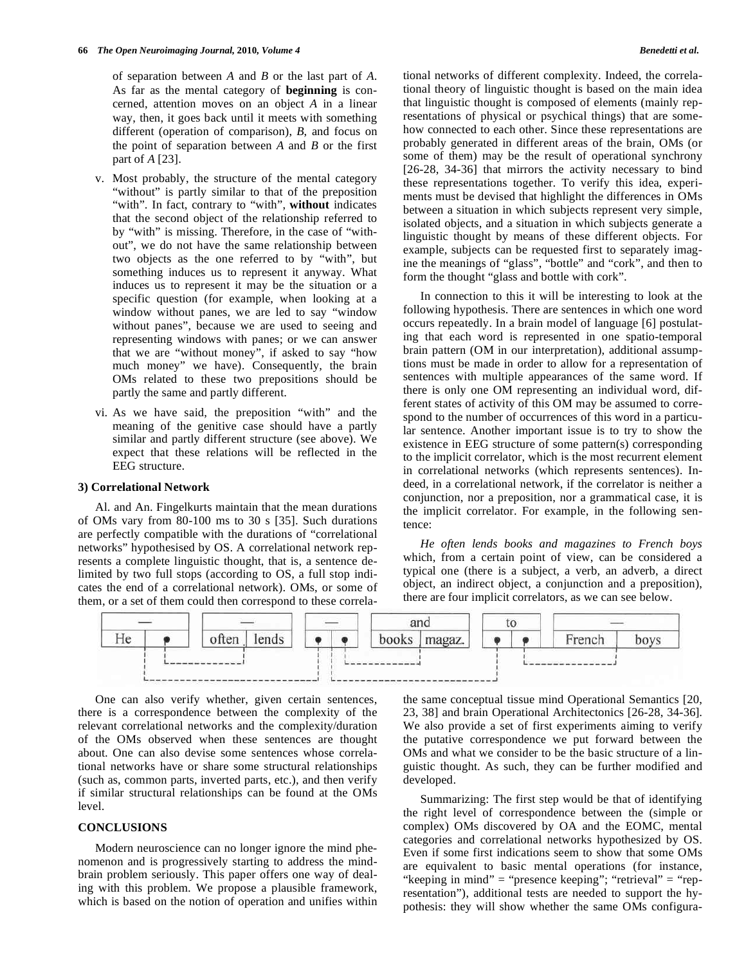of separation between *A* and *B* or the last part of *A*. As far as the mental category of **beginning** is concerned, attention moves on an object *A* in a linear way, then, it goes back until it meets with something different (operation of comparison), *B*, and focus on the point of separation between *A* and *B* or the first part of *A* [23].

- v. Most probably, the structure of the mental category "without" is partly similar to that of the preposition "with". In fact, contrary to "with", **without** indicates that the second object of the relationship referred to by "with" is missing. Therefore, in the case of "without", we do not have the same relationship between two objects as the one referred to by "with", but something induces us to represent it anyway. What induces us to represent it may be the situation or a specific question (for example, when looking at a window without panes, we are led to say "window without panes", because we are used to seeing and representing windows with panes; or we can answer that we are "without money", if asked to say "how much money" we have). Consequently, the brain OMs related to these two prepositions should be partly the same and partly different.
- vi. As we have said, the preposition "with" and the meaning of the genitive case should have a partly similar and partly different structure (see above). We expect that these relations will be reflected in the EEG structure.

# **3) Correlational Network**

 Al. and An. Fingelkurts maintain that the mean durations of OMs vary from 80-100 ms to 30 s [35]. Such durations are perfectly compatible with the durations of "correlational networks" hypothesised by OS. A correlational network represents a complete linguistic thought, that is, a sentence delimited by two full stops (according to OS, a full stop indicates the end of a correlational network). OMs, or some of them, or a set of them could then correspond to these correlational networks of different complexity. Indeed, the correlational theory of linguistic thought is based on the main idea that linguistic thought is composed of elements (mainly representations of physical or psychical things) that are somehow connected to each other. Since these representations are probably generated in different areas of the brain, OMs (or some of them) may be the result of operational synchrony [26-28, 34-36] that mirrors the activity necessary to bind these representations together. To verify this idea, experiments must be devised that highlight the differences in OMs between a situation in which subjects represent very simple, isolated objects, and a situation in which subjects generate a linguistic thought by means of these different objects. For example, subjects can be requested first to separately imagine the meanings of "glass", "bottle" and "cork", and then to form the thought "glass and bottle with cork".

 In connection to this it will be interesting to look at the following hypothesis. There are sentences in which one word occurs repeatedly. In a brain model of language [6] postulating that each word is represented in one spatio-temporal brain pattern (OM in our interpretation), additional assumptions must be made in order to allow for a representation of sentences with multiple appearances of the same word. If there is only one OM representing an individual word, different states of activity of this OM may be assumed to correspond to the number of occurrences of this word in a particular sentence. Another important issue is to try to show the existence in EEG structure of some pattern(s) corresponding to the implicit correlator, which is the most recurrent element in correlational networks (which represents sentences). Indeed, in a correlational network, if the correlator is neither a conjunction, nor a preposition, nor a grammatical case, it is the implicit correlator. For example, in the following sentence:

 *He often lends books and magazines to French boys* which, from a certain point of view, can be considered a typical one (there is a subject, a verb, an adverb, a direct object, an indirect object, a conjunction and a preposition), there are four implicit correlators, as we can see below.



 One can also verify whether, given certain sentences, there is a correspondence between the complexity of the relevant correlational networks and the complexity/duration of the OMs observed when these sentences are thought about. One can also devise some sentences whose correlational networks have or share some structural relationships (such as, common parts, inverted parts, etc.), and then verify if similar structural relationships can be found at the OMs level.

### **CONCLUSIONS**

 Modern neuroscience can no longer ignore the mind phenomenon and is progressively starting to address the mindbrain problem seriously. This paper offers one way of dealing with this problem. We propose a plausible framework, which is based on the notion of operation and unifies within the same conceptual tissue mind Operational Semantics [20, 23, 38] and brain Operational Architectonics [26-28, 34-36]. We also provide a set of first experiments aiming to verify the putative correspondence we put forward between the OMs and what we consider to be the basic structure of a linguistic thought. As such, they can be further modified and developed.

 Summarizing: The first step would be that of identifying the right level of correspondence between the (simple or complex) OMs discovered by OA and the EOMC, mental categories and correlational networks hypothesized by OS. Even if some first indications seem to show that some OMs are equivalent to basic mental operations (for instance, "keeping in mind" = "presence keeping"; "retrieval" = "representation"), additional tests are needed to support the hypothesis: they will show whether the same OMs configura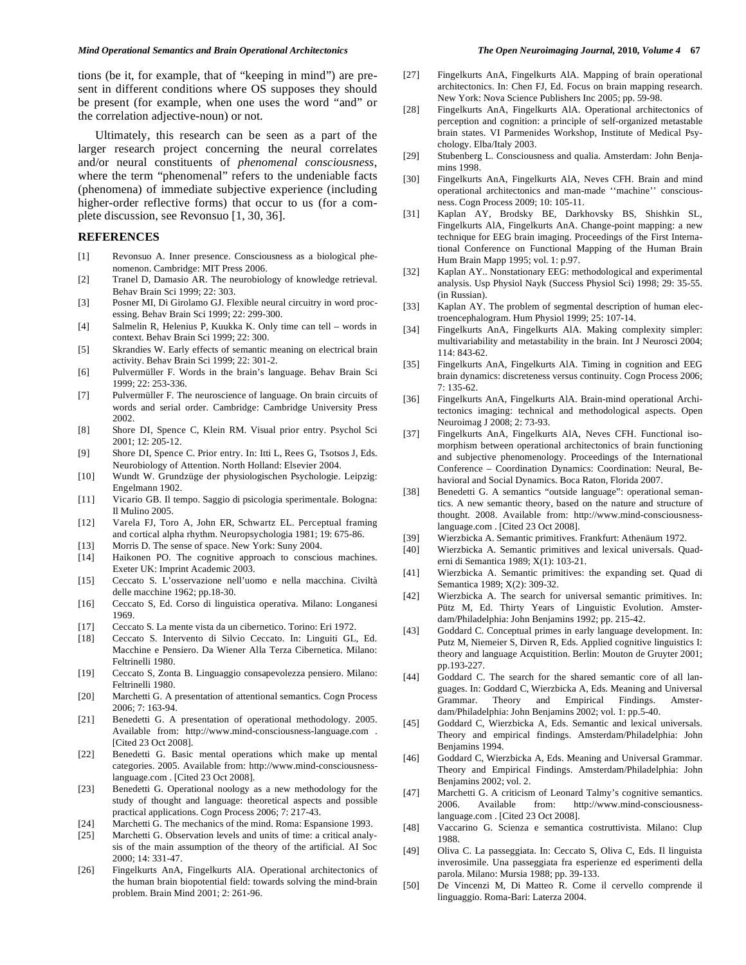tions (be it, for example, that of "keeping in mind") are present in different conditions where OS supposes they should be present (for example, when one uses the word "and" or the correlation adjective-noun) or not.

 Ultimately, this research can be seen as a part of the larger research project concerning the neural correlates and/or neural constituents of *phenomenal consciousness*, where the term "phenomenal" refers to the undeniable facts (phenomena) of immediate subjective experience (including higher-order reflective forms) that occur to us (for a complete discussion, see Revonsuo [1, 30, 36].

#### **REFERENCES**

- [1] Revonsuo A. Inner presence. Consciousness as a biological phenomenon. Cambridge: MIT Press 2006.
- [2] Tranel D, Damasio AR. The neurobiology of knowledge retrieval. Behav Brain Sci 1999; 22: 303.
- [3] Posner MI, Di Girolamo GJ. Flexible neural circuitry in word processing. Behav Brain Sci 1999; 22: 299-300.
- [4] Salmelin R, Helenius P, Kuukka K. Only time can tell words in context. Behav Brain Sci 1999; 22: 300.
- [5] Skrandies W. Early effects of semantic meaning on electrical brain activity. Behav Brain Sci 1999; 22: 301-2.
- [6] Pulvermüller F. Words in the brain's language. Behav Brain Sci 1999; 22: 253-336.
- [7] Pulvermüller F. The neuroscience of language. On brain circuits of words and serial order. Cambridge: Cambridge University Press 2002.
- [8] Shore DI, Spence C, Klein RM. Visual prior entry. Psychol Sci 2001; 12: 205-12.
- [9] Shore DI, Spence C. Prior entry. In: Itti L, Rees G, Tsotsos J, Eds. Neurobiology of Attention. North Holland: Elsevier 2004.
- [10] Wundt W. Grundzüge der physiologischen Psychologie. Leipzig: Engelmann 1902.
- [11] Vicario GB. Il tempo. Saggio di psicologia sperimentale. Bologna: Il Mulino 2005.
- [12] Varela FJ, Toro A, John ER, Schwartz EL. Perceptual framing and cortical alpha rhythm. Neuropsychologia 1981; 19: 675-86.
- [13] Morris D. The sense of space. New York: Suny 2004.
- [14] Haikonen PO. The cognitive approach to conscious machines. Exeter UK: Imprint Academic 2003.
- [15] Ceccato S. L'osservazione nell'uomo e nella macchina. Civiltà delle macchine 1962; pp.18-30.
- [16] Ceccato S, Ed. Corso di linguistica operativa. Milano: Longanesi 1969.
- [17] Ceccato S. La mente vista da un cibernetico. Torino: Eri 1972.
- [18] Ceccato S. Intervento di Silvio Ceccato. In: Linguiti GL, Ed. Macchine e Pensiero. Da Wiener Alla Terza Cibernetica. Milano: Feltrinelli 1980.
- [19] Ceccato S, Zonta B. Linguaggio consapevolezza pensiero. Milano: Feltrinelli 1980.
- [20] Marchetti G. A presentation of attentional semantics. Cogn Process 2006; 7: 163-94.
- [21] Benedetti G. A presentation of operational methodology. 2005. Available from: http://www.mind-consciousness-language.com . [Cited 23 Oct 2008].
- [22] Benedetti G. Basic mental operations which make up mental categories. 2005. Available from: http://www.mind-consciousnesslanguage.com . [Cited 23 Oct 2008].
- [23] Benedetti G. Operational noology as a new methodology for the study of thought and language: theoretical aspects and possible practical applications. Cogn Process 2006; 7: 217-43.
- [24] Marchetti G. The mechanics of the mind. Roma: Espansione 1993.
- [25] Marchetti G. Observation levels and units of time: a critical analysis of the main assumption of the theory of the artificial. AI Soc 2000; 14: 331-47.
- [26] Fingelkurts AnA, Fingelkurts AlA. Operational architectonics of the human brain biopotential field: towards solving the mind-brain problem. Brain Mind 2001; 2: 261-96.
- 
- [27] Fingelkurts AnA, Fingelkurts AlA. Mapping of brain operational architectonics. In: Chen FJ, Ed. Focus on brain mapping research. New York: Nova Science Publishers Inc 2005; pp. 59-98.
- [28] Fingelkurts AnA, Fingelkurts AlA. Operational architectonics of perception and cognition: a principle of self-organized metastable brain states. VI Parmenides Workshop, Institute of Medical Psychology. Elba/Italy 2003.
- [29] Stubenberg L. Consciousness and qualia. Amsterdam: John Benjamins 1998.
- [30] Fingelkurts AnA, Fingelkurts AlA, Neves CFH. Brain and mind operational architectonics and man-made ''machine'' consciousness. Cogn Process 2009; 10: 105-11.
- [31] Kaplan AY, Brodsky BE, Darkhovsky BS, Shishkin SL, Fingelkurts AlA, Fingelkurts AnA. Change-point mapping: a new technique for EEG brain imaging. Proceedings of the First International Conference on Functional Mapping of the Human Brain Hum Brain Mapp 1995; vol. 1: p.97.
- [32] Kaplan AY.. Nonstationary EEG: methodological and experimental analysis. Usp Physiol Nayk (Success Physiol Sci) 1998; 29: 35-55. (in Russian).
- [33] Kaplan AY. The problem of segmental description of human electroencephalogram. Hum Physiol 1999; 25: 107-14.
- [34] Fingelkurts AnA, Fingelkurts AlA. Making complexity simpler: multivariability and metastability in the brain. Int J Neurosci 2004; 114: 843-62.
- [35] Fingelkurts AnA, Fingelkurts AlA. Timing in cognition and EEG brain dynamics: discreteness versus continuity. Cogn Process 2006; 7: 135-62.
- [36] Fingelkurts AnA, Fingelkurts AlA. Brain-mind operational Architectonics imaging: technical and methodological aspects. Open Neuroimag J 2008; 2: 73-93.
- [37] Fingelkurts AnA, Fingelkurts AlA, Neves CFH. Functional isomorphism between operational architectonics of brain functioning and subjective phenomenology. Proceedings of the International Conference – Coordination Dynamics: Coordination: Neural, Behavioral and Social Dynamics. Boca Raton, Florida 2007.
- [38] Benedetti G. A semantics "outside language": operational semantics. A new semantic theory, based on the nature and structure of thought. 2008. Available from: http://www.mind-consciousnesslanguage.com . [Cited 23 Oct 2008].
- [39] Wierzbicka A. Semantic primitives. Frankfurt: Athenäum 1972.
- [40] Wierzbicka A. Semantic primitives and lexical universals. Quaderni di Semantica 1989; X(1): 103-21.
- [41] Wierzbicka A. Semantic primitives: the expanding set. Quad di Semantica 1989; X(2): 309-32.
- [42] Wierzbicka A. The search for universal semantic primitives. In: Pütz M, Ed. Thirty Years of Linguistic Evolution. Amsterdam/Philadelphia: John Benjamins 1992; pp. 215-42.
- [43] Goddard C. Conceptual primes in early language development. In: Putz M, Niemeier S, Dirven R, Eds. Applied cognitive linguistics I: theory and language Acquistition. Berlin: Mouton de Gruyter 2001; pp.193-227.
- [44] Goddard C. The search for the shared semantic core of all languages. In: Goddard C, Wierzbicka A, Eds. Meaning and Universal Grammar. Theory and Empirical Findings. Amsterdam/Philadelphia: John Benjamins 2002; vol. 1: pp.5-40.
- [45] Goddard C, Wierzbicka A, Eds. Semantic and lexical universals. Theory and empirical findings. Amsterdam/Philadelphia: John Benjamins 1994.
- [46] Goddard C, Wierzbicka A, Eds. Meaning and Universal Grammar. Theory and Empirical Findings. Amsterdam/Philadelphia: John Benjamins 2002; vol. 2.
- [47] Marchetti G. A criticism of Leonard Talmy's cognitive semantics. 2006. Available from: http://www.mind-consciousnesslanguage.com . [Cited 23 Oct 2008].
- [48] Vaccarino G. Scienza e semantica costruttivista. Milano: Clup 1988.
- [49] Oliva C. La passeggiata. In: Ceccato S, Oliva C, Eds. Il linguista inverosimile. Una passeggiata fra esperienze ed esperimenti della parola. Milano: Mursia 1988; pp. 39-133.
- [50] De Vincenzi M, Di Matteo R. Come il cervello comprende il linguaggio. Roma-Bari: Laterza 2004.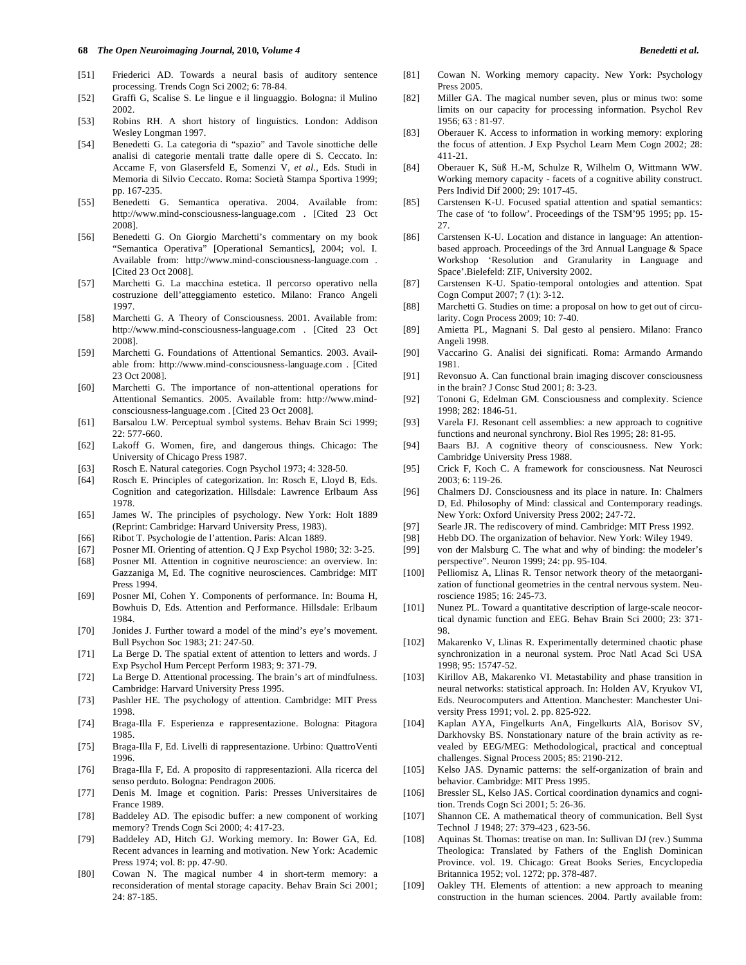#### **68** *The Open Neuroimaging Journal,* **2010***, Volume 4 Benedetti et al.*

- [51] Friederici AD. Towards a neural basis of auditory sentence processing. Trends Cogn Sci 2002; 6: 78-84.
- [52] Graffi G, Scalise S. Le lingue e il linguaggio. Bologna: il Mulino 2002.
- [53] Robins RH. A short history of linguistics. London: Addison Wesley Longman 1997.
- [54] Benedetti G. La categoria di "spazio" and Tavole sinottiche delle analisi di categorie mentali tratte dalle opere di S. Ceccato. In: Accame F, von Glasersfeld E, Somenzi V, *et al.,* Eds. Studi in Memoria di Silvio Ceccato. Roma: Società Stampa Sportiva 1999; pp. 167-235.
- [55] Benedetti G. Semantica operativa. 2004. Available from: http://www.mind-consciousness-language.com . [Cited 23 Oct 2008].
- [56] Benedetti G. On Giorgio Marchetti's commentary on my book "Semantica Operativa" [Operational Semantics], 2004; vol. I. Available from: http://www.mind-consciousness-language.com . [Cited 23 Oct 2008].
- [57] Marchetti G. La macchina estetica. Il percorso operativo nella costruzione dell'atteggiamento estetico. Milano: Franco Angeli 1997.
- [58] Marchetti G. A Theory of Consciousness. 2001. Available from: http://www.mind-consciousness-language.com . [Cited 23 Oct 2008].
- [59] Marchetti G. Foundations of Attentional Semantics. 2003. Available from: http://www.mind-consciousness-language.com . [Cited 23 Oct 2008].
- [60] Marchetti G. The importance of non-attentional operations for Attentional Semantics. 2005. Available from: http://www.mindconsciousness-language.com . [Cited 23 Oct 2008].
- [61] Barsalou LW. Perceptual symbol systems. Behav Brain Sci 1999; 22: 577-660.
- [62] Lakoff G. Women, fire, and dangerous things. Chicago: The University of Chicago Press 1987.
- [63] Rosch E. Natural categories. Cogn Psychol 1973; 4: 328-50.
- [64] Rosch E. Principles of categorization. In: Rosch E, Lloyd B, Eds. Cognition and categorization. Hillsdale: Lawrence Erlbaum Ass 1978.
- [65] James W. The principles of psychology. New York: Holt 1889 (Reprint: Cambridge: Harvard University Press, 1983).
- [66] Ribot T. Psychologie de l'attention. Paris: Alcan 1889.
- [67] Posner MI. Orienting of attention. Q J Exp Psychol 1980; 32: 3-25.
- [68] Posner MI. Attention in cognitive neuroscience: an overview. In: Gazzaniga M, Ed. The cognitive neurosciences. Cambridge: MIT Press 1994.
- [69] Posner MI, Cohen Y. Components of performance. In: Bouma H, Bowhuis D, Eds. Attention and Performance. Hillsdale: Erlbaum 1984.
- [70] Jonides J. Further toward a model of the mind's eye's movement. Bull Psychon Soc 1983; 21: 247-50.
- [71] La Berge D. The spatial extent of attention to letters and words. J Exp Psychol Hum Percept Perform 1983; 9: 371-79.
- [72] La Berge D. Attentional processing. The brain's art of mindfulness. Cambridge: Harvard University Press 1995.
- [73] Pashler HE. The psychology of attention. Cambridge: MIT Press 1998.
- [74] Braga-Illa F. Esperienza e rappresentazione. Bologna: Pitagora 1985.
- [75] Braga-Illa F, Ed. Livelli di rappresentazione. Urbino: QuattroVenti 1996.
- [76] Braga-Illa F, Ed. A proposito di rappresentazioni. Alla ricerca del senso perduto. Bologna: Pendragon 2006.
- [77] Denis M. Image et cognition. Paris: Presses Universitaires de France 1989.
- [78] Baddeley AD. The episodic buffer: a new component of working memory? Trends Cogn Sci 2000; 4: 417-23.
- [79] Baddeley AD, Hitch GJ. Working memory. In: Bower GA, Ed. Recent advances in learning and motivation. New York: Academic Press 1974; vol. 8: pp. 47-90.
- [80] Cowan N. The magical number 4 in short-term memory: a reconsideration of mental storage capacity. Behav Brain Sci 2001; 24: 87-185.
- [81] Cowan N. Working memory capacity. New York: Psychology Press 2005.
- [82] Miller GA. The magical number seven, plus or minus two: some limits on our capacity for processing information. Psychol Rev 1956; 63 : 81-97.
- [83] Oberauer K. Access to information in working memory: exploring the focus of attention. J Exp Psychol Learn Mem Cogn 2002; 28: 411-21.
- [84] Oberauer K, Süß H.-M, Schulze R, Wilhelm O, Wittmann WW. Working memory capacity - facets of a cognitive ability construct. Pers Individ Dif 2000; 29: 1017-45.
- [85] Carstensen K-U. Focused spatial attention and spatial semantics: The case of 'to follow'. Proceedings of the TSM'95 1995; pp. 15-  $27.$
- [86] Carstensen K-U. Location and distance in language: An attentionbased approach. Proceedings of the 3rd Annual Language & Space Workshop 'Resolution and Granularity in Language and Space'.Bielefeld: ZIF, University 2002.
- [87] Carstensen K-U. Spatio-temporal ontologies and attention. Spat Cogn Comput 2007; 7 (1): 3-12.
- [88] Marchetti G. Studies on time: a proposal on how to get out of circularity. Cogn Process 2009; 10: 7-40.
- [89] Amietta PL, Magnani S. Dal gesto al pensiero. Milano: Franco Angeli 1998.
- [90] Vaccarino G. Analisi dei significati. Roma: Armando Armando 1981.
- [91] Revonsuo A. Can functional brain imaging discover consciousness in the brain? J Consc Stud 2001; 8: 3-23.
- [92] Tononi G, Edelman GM. Consciousness and complexity. Science 1998; 282: 1846-51.
- [93] Varela FJ. Resonant cell assemblies: a new approach to cognitive functions and neuronal synchrony. Biol Res 1995; 28: 81-95.
- [94] Baars BJ. A cognitive theory of consciousness. New York: Cambridge University Press 1988.
- [95] Crick F, Koch C. A framework for consciousness. Nat Neurosci 2003; 6: 119-26.
- [96] Chalmers DJ. Consciousness and its place in nature. In: Chalmers D, Ed. Philosophy of Mind: classical and Contemporary readings. New York: Oxford University Press 2002; 247-72.
- [97] Searle JR. The rediscovery of mind. Cambridge: MIT Press 1992.
- [98] Hebb DO. The organization of behavior. New York: Wiley 1949.
- [99] von der Malsburg C. The what and why of binding: the modeler's perspective". Neuron 1999; 24: pp. 95-104.
- [100] Pelliomisz A, Llinas R. Tensor network theory of the metaorganization of functional geometries in the central nervous system. Neuroscience 1985; 16: 245-73.
- [101] Nunez PL. Toward a quantitative description of large-scale neocortical dynamic function and EEG. Behav Brain Sci 2000; 23: 371- 98.
- [102] Makarenko V, Llinas R. Experimentally determined chaotic phase synchronization in a neuronal system. Proc Natl Acad Sci USA 1998; 95: 15747-52.
- [103] Kirillov AB, Makarenko VI. Metastability and phase transition in neural networks: statistical approach. In: Holden AV, Kryukov VI, Eds. Neurocomputers and Attention. Manchester: Manchester University Press 1991; vol. 2. pp. 825-922.
- [104] Kaplan AYA, Fingelkurts AnA, Fingelkurts AlA, Borisov SV, Darkhovsky BS. Nonstationary nature of the brain activity as revealed by EEG/MEG: Methodological, practical and conceptual challenges. Signal Process 2005; 85: 2190-212.
- [105] Kelso JAS. Dynamic patterns: the self-organization of brain and behavior. Cambridge: MIT Press 1995.
- [106] Bressler SL, Kelso JAS. Cortical coordination dynamics and cognition. Trends Cogn Sci 2001; 5: 26-36.
- [107] Shannon CE. A mathematical theory of communication. Bell Syst Technol J 1948; 27: 379-423 , 623-56.
- [108] Aquinas St. Thomas: treatise on man. In: Sullivan DJ (rev.) Summa Theologica: Translated by Fathers of the English Dominican Province. vol. 19. Chicago: Great Books Series, Encyclopedia Britannica 1952; vol. 1272; pp. 378-487.
- [109] Oakley TH. Elements of attention: a new approach to meaning construction in the human sciences. 2004. Partly available from: